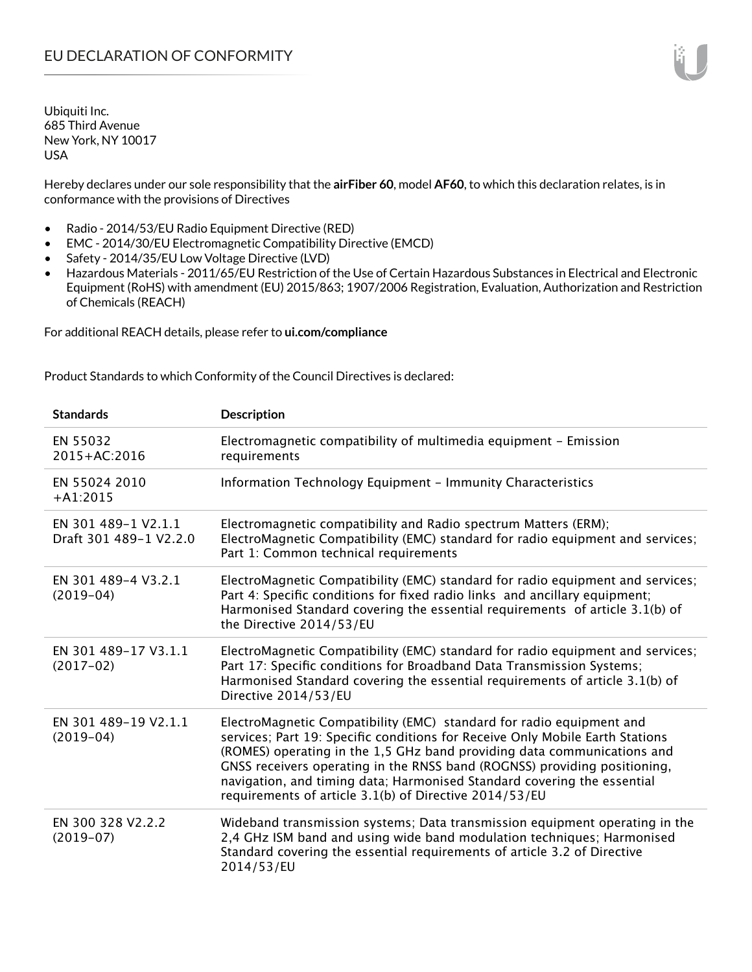Hereby declares under our sole responsibility that the **airFiber 60**, model **AF60**, to which this declaration relates, is in conformance with the provisions of Directives

- Radio 2014/53/EU Radio Equipment Directive (RED)
- EMC 2014/30/EU Electromagnetic Compatibility Directive (EMCD)
- Safety 2014/35/EU Low Voltage Directive (LVD)
- Hazardous Materials 2011/65/EU Restriction of the Use of Certain Hazardous Substances in Electrical and Electronic Equipment (RoHS) with amendment (EU) 2015/863; 1907/2006 Registration, Evaluation, Authorization and Restriction of Chemicals (REACH)

For additional REACH details, please refer to **ui.com/compliance**

Product Standards to which Conformity of the Council Directives is declared:

| <b>Standards</b>                              | <b>Description</b>                                                                                                                                                                                                                                                                                                                                                                                                                                 |
|-----------------------------------------------|----------------------------------------------------------------------------------------------------------------------------------------------------------------------------------------------------------------------------------------------------------------------------------------------------------------------------------------------------------------------------------------------------------------------------------------------------|
| EN 55032<br>2015+AC:2016                      | Electromagnetic compatibility of multimedia equipment - Emission<br>requirements                                                                                                                                                                                                                                                                                                                                                                   |
| EN 55024 2010<br>$+A1:2015$                   | Information Technology Equipment - Immunity Characteristics                                                                                                                                                                                                                                                                                                                                                                                        |
| EN 301 489-1 V2.1.1<br>Draft 301 489-1 V2.2.0 | Electromagnetic compatibility and Radio spectrum Matters (ERM);<br>ElectroMagnetic Compatibility (EMC) standard for radio equipment and services;<br>Part 1: Common technical requirements                                                                                                                                                                                                                                                         |
| EN 301 489-4 V3.2.1<br>$(2019-04)$            | ElectroMagnetic Compatibility (EMC) standard for radio equipment and services;<br>Part 4: Specific conditions for fixed radio links and ancillary equipment;<br>Harmonised Standard covering the essential requirements of article 3.1(b) of<br>the Directive 2014/53/EU                                                                                                                                                                           |
| EN 301 489-17 V3.1.1<br>$(2017-02)$           | ElectroMagnetic Compatibility (EMC) standard for radio equipment and services;<br>Part 17: Specific conditions for Broadband Data Transmission Systems;<br>Harmonised Standard covering the essential requirements of article 3.1(b) of<br>Directive 2014/53/EU                                                                                                                                                                                    |
| EN 301 489-19 V2.1.1<br>$(2019-04)$           | ElectroMagnetic Compatibility (EMC) standard for radio equipment and<br>services; Part 19: Specific conditions for Receive Only Mobile Earth Stations<br>(ROMES) operating in the 1,5 GHz band providing data communications and<br>GNSS receivers operating in the RNSS band (ROGNSS) providing positioning,<br>navigation, and timing data; Harmonised Standard covering the essential<br>requirements of article 3.1(b) of Directive 2014/53/EU |
| EN 300 328 V2.2.2<br>$(2019-07)$              | Wideband transmission systems; Data transmission equipment operating in the<br>2,4 GHz ISM band and using wide band modulation techniques; Harmonised<br>Standard covering the essential requirements of article 3.2 of Directive<br>2014/53/EU                                                                                                                                                                                                    |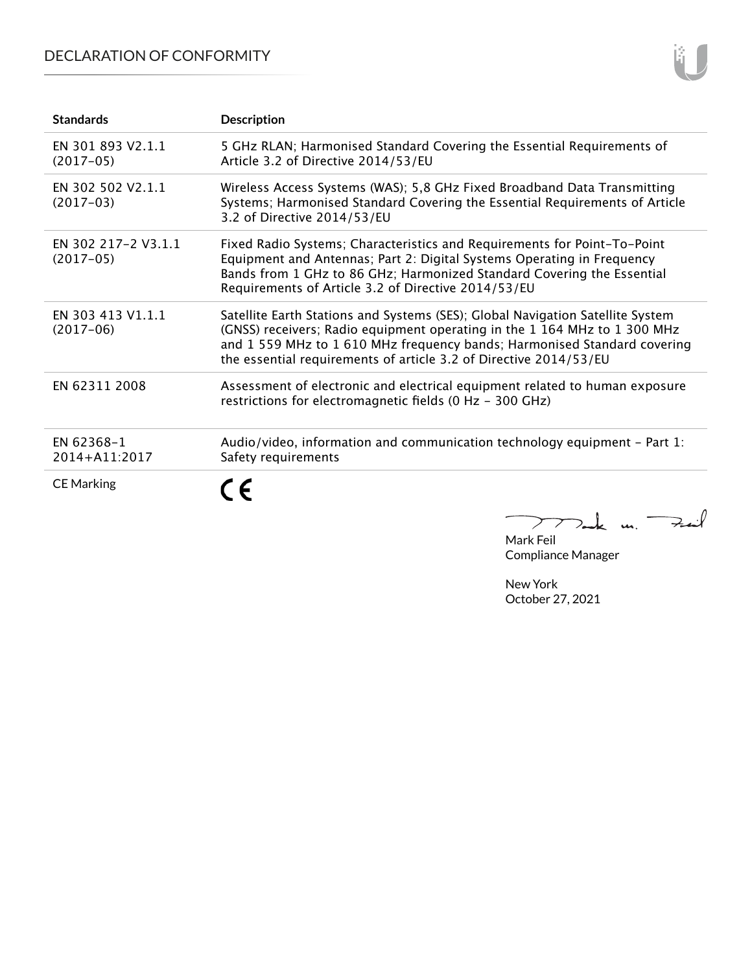## DECLARATION OF CONFORMITY

| <b>Standards</b>                   | <b>Description</b>                                                                                                                                                                                                                                                                                           |
|------------------------------------|--------------------------------------------------------------------------------------------------------------------------------------------------------------------------------------------------------------------------------------------------------------------------------------------------------------|
| EN 301 893 V2.1.1<br>$(2017-05)$   | 5 GHz RLAN; Harmonised Standard Covering the Essential Requirements of<br>Article 3.2 of Directive 2014/53/EU                                                                                                                                                                                                |
| EN 302 502 V2.1.1<br>$(2017-03)$   | Wireless Access Systems (WAS); 5,8 GHz Fixed Broadband Data Transmitting<br>Systems; Harmonised Standard Covering the Essential Requirements of Article<br>3.2 of Directive 2014/53/EU                                                                                                                       |
| EN 302 217-2 V3.1.1<br>$(2017-05)$ | Fixed Radio Systems; Characteristics and Requirements for Point-To-Point<br>Equipment and Antennas; Part 2: Digital Systems Operating in Frequency<br>Bands from 1 GHz to 86 GHz; Harmonized Standard Covering the Essential<br>Requirements of Article 3.2 of Directive 2014/53/EU                          |
| EN 303 413 V1.1.1<br>$(2017-06)$   | Satellite Earth Stations and Systems (SES); Global Navigation Satellite System<br>(GNSS) receivers; Radio equipment operating in the 1 164 MHz to 1 300 MHz<br>and 1 559 MHz to 1 610 MHz frequency bands; Harmonised Standard covering<br>the essential requirements of article 3.2 of Directive 2014/53/EU |
| EN 62311 2008                      | Assessment of electronic and electrical equipment related to human exposure<br>restrictions for electromagnetic fields (0 Hz - 300 GHz)                                                                                                                                                                      |
| EN 62368-1<br>2014+A11:2017        | Audio/video, information and communication technology equipment - Part 1:<br>Safety requirements                                                                                                                                                                                                             |
| <b>CE Marking</b>                  | $>$ ak un.                                                                                                                                                                                                                                                                                                   |

Mak m. Mark Feil

Compliance Manager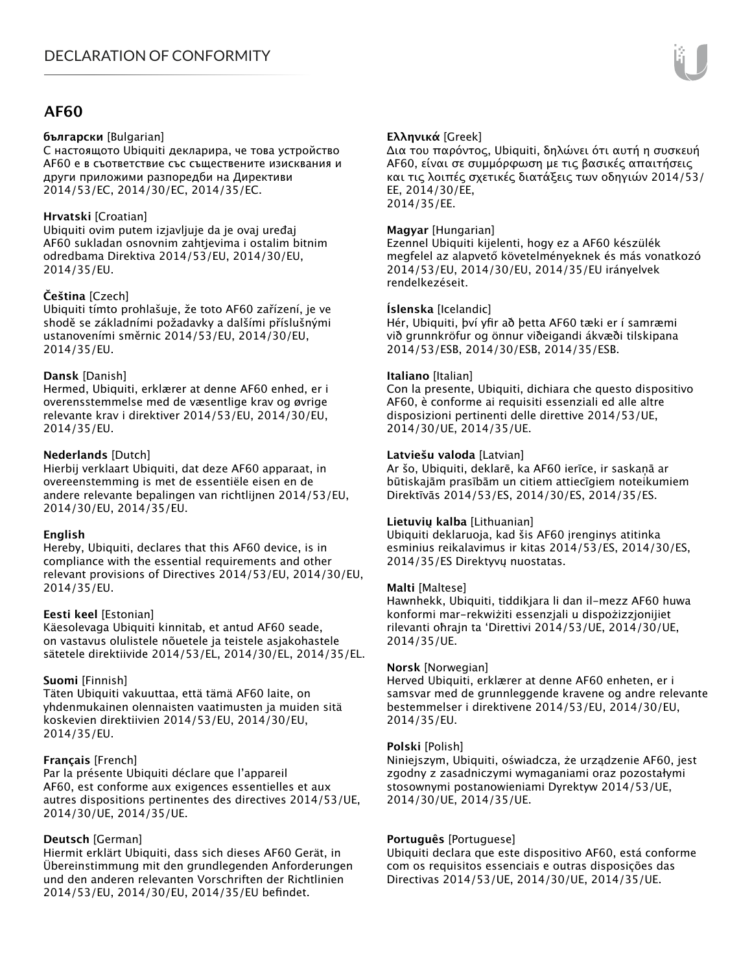### **AF60**

#### **български** [Bulgarian]

С настоящото Ubiquiti декларира, че това устройство AF60 е в съответствие със съществените изисквания и други приложими разпоредби на Директиви 2014/53/EC, 2014/30/ЕС, 2014/35/ЕС.

#### **Hrvatski** [Croatian]

Ubiquiti ovim putem izjavljuje da je ovaj uređaj AF60 sukladan osnovnim zahtjevima i ostalim bitnim odredbama Direktiva 2014/53/EU, 2014/30/EU, 2014/35/EU.

#### **Čeština** [Czech]

Ubiquiti tímto prohlašuje, že toto AF60 zařízení, je ve shodě se základními požadavky a dalšími příslušnými ustanoveními směrnic 2014/53/EU, 2014/30/EU, 2014/35/EU.

#### **Dansk** [Danish]

Hermed, Ubiquiti, erklærer at denne AF60 enhed, er i overensstemmelse med de væsentlige krav og øvrige relevante krav i direktiver 2014/53/EU, 2014/30/EU, 2014/35/EU.

#### **Nederlands** [Dutch]

Hierbij verklaart Ubiquiti, dat deze AF60 apparaat, in overeenstemming is met de essentiële eisen en de andere relevante bepalingen van richtlijnen 2014/53/EU, 2014/30/EU, 2014/35/EU.

#### **English**

Hereby, Ubiquiti, declares that this AF60 device, is in compliance with the essential requirements and other relevant provisions of Directives 2014/53/EU, 2014/30/EU, 2014/35/EU.

#### **Eesti keel** [Estonian]

Käesolevaga Ubiquiti kinnitab, et antud AF60 seade, on vastavus olulistele nõuetele ja teistele asjakohastele sätetele direktiivide 2014/53/EL, 2014/30/EL, 2014/35/EL.

#### **Suomi** [Finnish]

Täten Ubiquiti vakuuttaa, että tämä AF60 laite, on yhdenmukainen olennaisten vaatimusten ja muiden sitä koskevien direktiivien 2014/53/EU, 2014/30/EU, 2014/35/EU.

#### **Français** [French]

Par la présente Ubiquiti déclare que l'appareil AF60, est conforme aux exigences essentielles et aux autres dispositions pertinentes des directives 2014/53/UE, 2014/30/UE, 2014/35/UE.

#### **Deutsch** [German]

Hiermit erklärt Ubiquiti, dass sich dieses AF60 Gerät, in Übereinstimmung mit den grundlegenden Anforderungen und den anderen relevanten Vorschriften der Richtlinien 2014/53/EU, 2014/30/EU, 2014/35/EU befindet.

#### **Ελληνικά** [Greek]

Δια του παρόντος, Ubiquiti, δηλώνει ότι αυτή η συσκευή AF60, είναι σε συμμόρφωση με τις βασικές απαιτήσεις και τις λοιπές σχετικές διατάξεις των οδηγιών 2014/53/ EE, 2014/30/EE, 2014/35/EE.

#### **Magyar** [Hungarian]

Ezennel Ubiquiti kijelenti, hogy ez a AF60 készülék megfelel az alapvető követelményeknek és más vonatkozó 2014/53/EU, 2014/30/EU, 2014/35/EU irányelvek rendelkezéseit.

#### **Íslenska** [Icelandic]

Hér, Ubiquiti, því yfir að þetta AF60 tæki er í samræmi við grunnkröfur og önnur viðeigandi ákvæði tilskipana 2014/53/ESB, 2014/30/ESB, 2014/35/ESB.

#### **Italiano** [Italian]

Con la presente, Ubiquiti, dichiara che questo dispositivo AF60, è conforme ai requisiti essenziali ed alle altre disposizioni pertinenti delle direttive 2014/53/UE, 2014/30/UE, 2014/35/UE.

#### **Latviešu valoda** [Latvian]

Ar šo, Ubiquiti, deklarē, ka AF60 ierīce, ir saskaņā ar būtiskajām prasībām un citiem attiecīgiem noteikumiem Direktīvās 2014/53/ES, 2014/30/ES, 2014/35/ES.

#### **Lietuvių kalba** [Lithuanian]

Ubiquiti deklaruoja, kad šis AF60 įrenginys atitinka esminius reikalavimus ir kitas 2014/53/ES, 2014/30/ES, 2014/35/ES Direktyvų nuostatas.

#### **Malti** [Maltese]

Hawnhekk, Ubiquiti, tiddikjara li dan il-mezz AF60 huwa konformi mar-rekwiżiti essenzjali u dispożizzjonijiet rilevanti oħrajn ta 'Direttivi 2014/53/UE, 2014/30/UE, 2014/35/UE.

#### **Norsk** [Norwegian]

Herved Ubiquiti, erklærer at denne AF60 enheten, er i samsvar med de grunnleggende kravene og andre relevante bestemmelser i direktivene 2014/53/EU, 2014/30/EU, 2014/35/EU.

#### **Polski** [Polish]

Niniejszym, Ubiquiti, oświadcza, że urządzenie AF60, jest zgodny z zasadniczymi wymaganiami oraz pozostałymi stosownymi postanowieniami Dyrektyw 2014/53/UE, 2014/30/UE, 2014/35/UE.

#### **Português** [Portuguese]

Ubiquiti declara que este dispositivo AF60, está conforme com os requisitos essenciais e outras disposições das Directivas 2014/53/UE, 2014/30/UE, 2014/35/UE.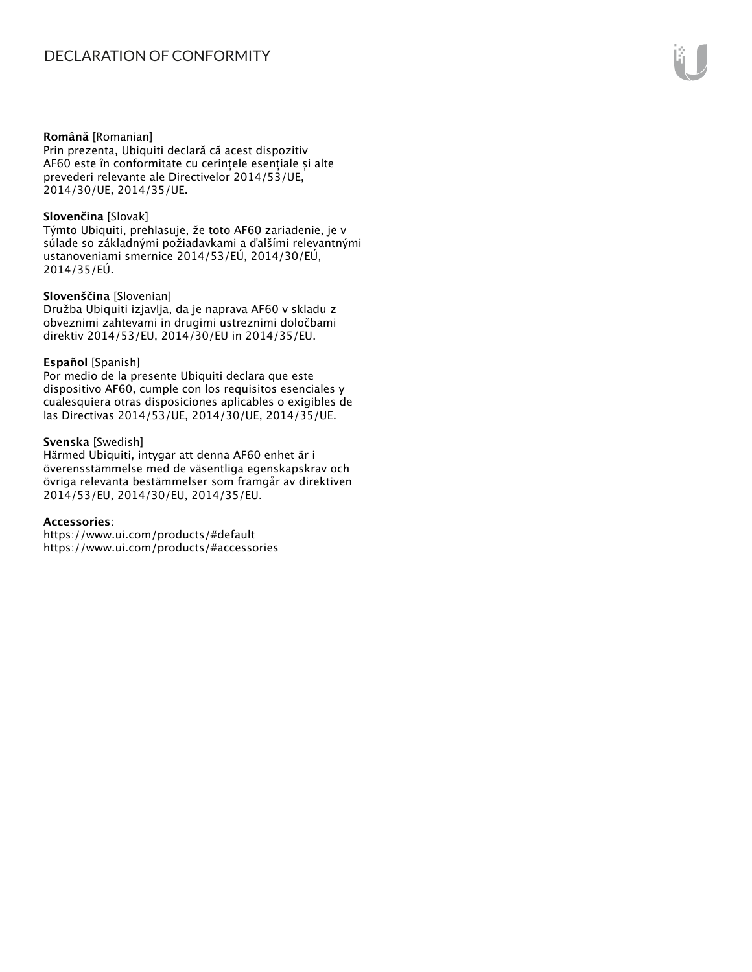#### **Română** [Romanian]

Prin prezenta, Ubiquiti declară că acest dispozitiv AF60 este în conformitate cu cerințele esențiale și alte prevederi relevante ale Directivelor 2014/53/UE, 2014/30/UE, 2014/35/UE.

#### **Slovenčina** [Slovak]

Týmto Ubiquiti, prehlasuje, že toto AF60 zariadenie, je v súlade so základnými požiadavkami a ďalšími relevantnými ustanoveniami smernice 2014/53/EÚ, 2014/30/EÚ, 2014/35/EÚ.

#### **Slovenščina** [Slovenian]

Družba Ubiquiti izjavlja, da je naprava AF60 v skladu z obveznimi zahtevami in drugimi ustreznimi določbami direktiv 2014/53/EU, 2014/30/EU in 2014/35/EU.

#### **Español** [Spanish]

Por medio de la presente Ubiquiti declara que este dispositivo AF60, cumple con los requisitos esenciales y cualesquiera otras disposiciones aplicables o exigibles de las Directivas 2014/53/UE, 2014/30/UE, 2014/35/UE.

#### **Svenska** [Swedish]

Härmed Ubiquiti, intygar att denna AF60 enhet är i överensstämmelse med de väsentliga egenskapskrav och övriga relevanta bestämmelser som framgår av direktiven 2014/53/EU, 2014/30/EU, 2014/35/EU.

#### **Accessories**:

https://www.ui.com/products/#default https://www.ui.com/products/#accessories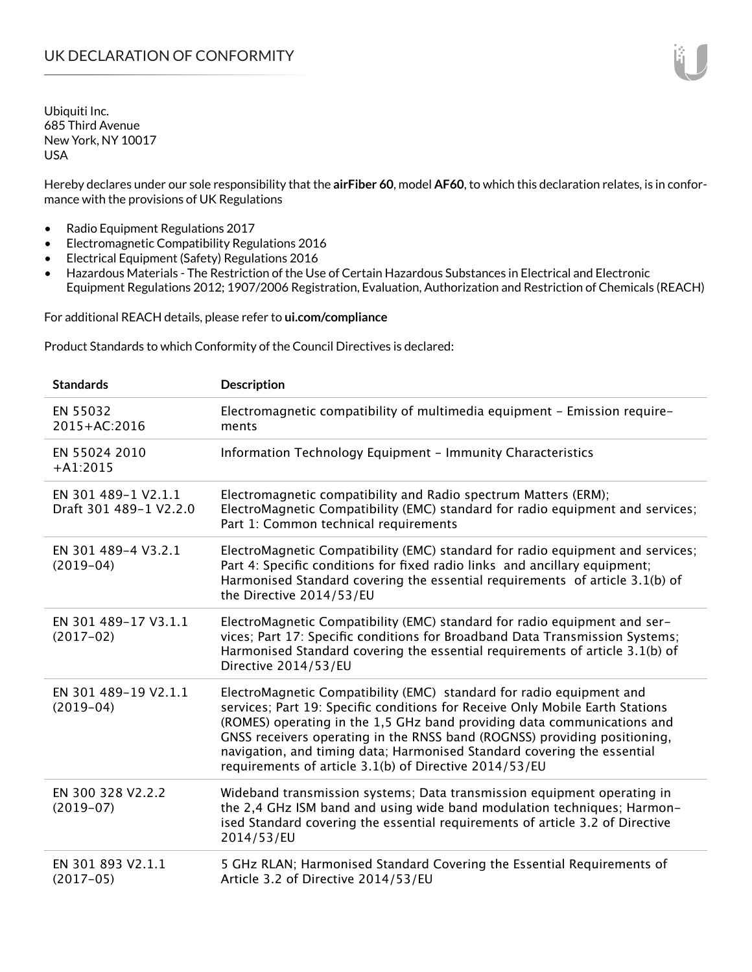Hereby declares under our sole responsibility that the **airFiber 60**, model **AF60**, to which this declaration relates, is in conformance with the provisions of UK Regulations

- Radio Equipment Regulations 2017
- Electromagnetic Compatibility Regulations 2016
- Electrical Equipment (Safety) Regulations 2016
- Hazardous Materials The Restriction of the Use of Certain Hazardous Substances in Electrical and Electronic Equipment Regulations 2012; 1907/2006 Registration, Evaluation, Authorization and Restriction of Chemicals (REACH)

For additional REACH details, please refer to **ui.com/compliance**

Product Standards to which Conformity of the Council Directives is declared:

| <b>Standards</b>                              | Description                                                                                                                                                                                                                                                                                                                                                                                                                                        |
|-----------------------------------------------|----------------------------------------------------------------------------------------------------------------------------------------------------------------------------------------------------------------------------------------------------------------------------------------------------------------------------------------------------------------------------------------------------------------------------------------------------|
| EN 55032<br>2015+AC:2016                      | Electromagnetic compatibility of multimedia equipment - Emission require-<br>ments                                                                                                                                                                                                                                                                                                                                                                 |
| EN 55024 2010<br>$+A1:2015$                   | Information Technology Equipment - Immunity Characteristics                                                                                                                                                                                                                                                                                                                                                                                        |
| EN 301 489-1 V2.1.1<br>Draft 301 489-1 V2.2.0 | Electromagnetic compatibility and Radio spectrum Matters (ERM);<br>ElectroMagnetic Compatibility (EMC) standard for radio equipment and services;<br>Part 1: Common technical requirements                                                                                                                                                                                                                                                         |
| EN 301 489-4 V3.2.1<br>$(2019-04)$            | ElectroMagnetic Compatibility (EMC) standard for radio equipment and services;<br>Part 4: Specific conditions for fixed radio links and ancillary equipment;<br>Harmonised Standard covering the essential requirements of article 3.1(b) of<br>the Directive 2014/53/EU                                                                                                                                                                           |
| EN 301 489-17 V3.1.1<br>$(2017-02)$           | ElectroMagnetic Compatibility (EMC) standard for radio equipment and ser-<br>vices; Part 17: Specific conditions for Broadband Data Transmission Systems;<br>Harmonised Standard covering the essential requirements of article 3.1(b) of<br>Directive 2014/53/EU                                                                                                                                                                                  |
| EN 301 489-19 V2.1.1<br>$(2019-04)$           | ElectroMagnetic Compatibility (EMC) standard for radio equipment and<br>services; Part 19: Specific conditions for Receive Only Mobile Earth Stations<br>(ROMES) operating in the 1,5 GHz band providing data communications and<br>GNSS receivers operating in the RNSS band (ROGNSS) providing positioning,<br>navigation, and timing data; Harmonised Standard covering the essential<br>requirements of article 3.1(b) of Directive 2014/53/EU |
| EN 300 328 V2.2.2<br>$(2019-07)$              | Wideband transmission systems; Data transmission equipment operating in<br>the 2,4 GHz ISM band and using wide band modulation techniques; Harmon-<br>ised Standard covering the essential requirements of article 3.2 of Directive<br>2014/53/EU                                                                                                                                                                                                  |
| EN 301 893 V2.1.1<br>$(2017-05)$              | 5 GHz RLAN; Harmonised Standard Covering the Essential Requirements of<br>Article 3.2 of Directive 2014/53/EU                                                                                                                                                                                                                                                                                                                                      |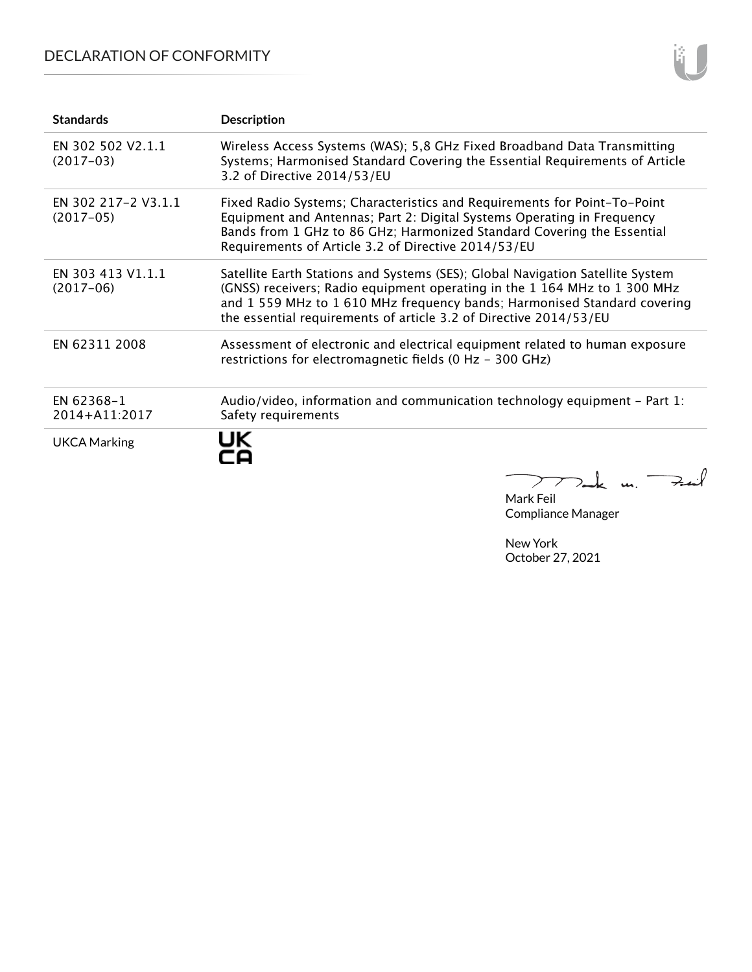## DECLARATION OF CONFORMITY

| <b>Standards</b>                   | <b>Description</b>                                                                                                                                                                                                                                                                                           |
|------------------------------------|--------------------------------------------------------------------------------------------------------------------------------------------------------------------------------------------------------------------------------------------------------------------------------------------------------------|
| EN 302 502 V2.1.1<br>$(2017-03)$   | Wireless Access Systems (WAS); 5,8 GHz Fixed Broadband Data Transmitting<br>Systems; Harmonised Standard Covering the Essential Requirements of Article<br>3.2 of Directive 2014/53/EU                                                                                                                       |
| EN 302 217-2 V3.1.1<br>$(2017-05)$ | Fixed Radio Systems; Characteristics and Requirements for Point-To-Point<br>Equipment and Antennas; Part 2: Digital Systems Operating in Frequency<br>Bands from 1 GHz to 86 GHz; Harmonized Standard Covering the Essential<br>Requirements of Article 3.2 of Directive 2014/53/EU                          |
| EN 303 413 V1.1.1<br>$(2017-06)$   | Satellite Earth Stations and Systems (SES); Global Navigation Satellite System<br>(GNSS) receivers; Radio equipment operating in the 1 164 MHz to 1 300 MHz<br>and 1 559 MHz to 1 610 MHz frequency bands; Harmonised Standard covering<br>the essential requirements of article 3.2 of Directive 2014/53/EU |
| EN 62311 2008                      | Assessment of electronic and electrical equipment related to human exposure<br>restrictions for electromagnetic fields (0 Hz - 300 GHz)                                                                                                                                                                      |
| EN 62368-1<br>2014+A11:2017        | Audio/video, information and communication technology equipment – Part 1:<br>Safety requirements                                                                                                                                                                                                             |
| UKCA Marking                       | UK                                                                                                                                                                                                                                                                                                           |

Mark Feil Compliance Manager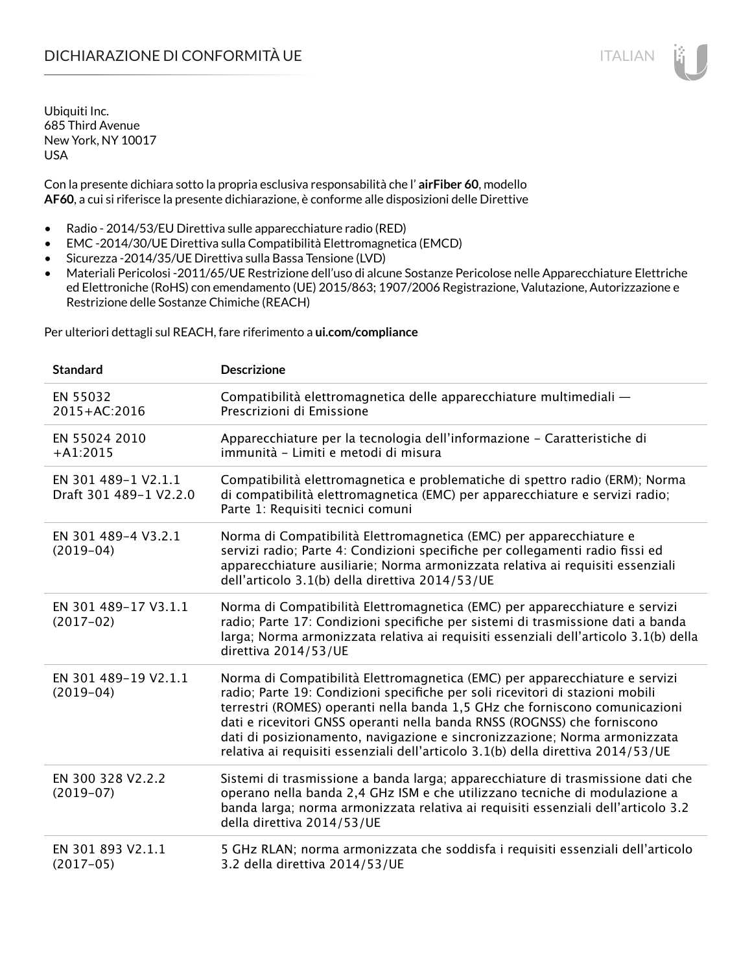Con la presente dichiara sotto la propria esclusiva responsabilità che l' **airFiber 60**, modello **AF60**, a cui si riferisce la presente dichiarazione, è conforme alle disposizioni delle Direttive

- Radio 2014/53/EU Direttiva sulle apparecchiature radio (RED)
- EMC -2014/30/UE Direttiva sulla Compatibilità Elettromagnetica (EMCD)
- Sicurezza -2014/35/UE Direttiva sulla Bassa Tensione (LVD)
- Materiali Pericolosi -2011/65/UE Restrizione dell'uso di alcune Sostanze Pericolose nelle Apparecchiature Elettriche ed Elettroniche (RoHS) con emendamento (UE) 2015/863; 1907/2006 Registrazione, Valutazione, Autorizzazione e Restrizione delle Sostanze Chimiche (REACH)

Per ulteriori dettagli sul REACH, fare riferimento a **ui.com/compliance**

| <b>Standard</b>                               | <b>Descrizione</b>                                                                                                                                                                                                                                                                                                                                                                                                                                                                       |
|-----------------------------------------------|------------------------------------------------------------------------------------------------------------------------------------------------------------------------------------------------------------------------------------------------------------------------------------------------------------------------------------------------------------------------------------------------------------------------------------------------------------------------------------------|
| EN 55032<br>2015+AC:2016                      | Compatibilità elettromagnetica delle apparecchiature multimediali -<br>Prescrizioni di Emissione                                                                                                                                                                                                                                                                                                                                                                                         |
| EN 55024 2010<br>$+A1:2015$                   | Apparecchiature per la tecnologia dell'informazione - Caratteristiche di<br>immunità - Limiti e metodi di misura                                                                                                                                                                                                                                                                                                                                                                         |
| EN 301 489-1 V2.1.1<br>Draft 301 489-1 V2.2.0 | Compatibilità elettromagnetica e problematiche di spettro radio (ERM); Norma<br>di compatibilità elettromagnetica (EMC) per apparecchiature e servizi radio;<br>Parte 1: Requisiti tecnici comuni                                                                                                                                                                                                                                                                                        |
| EN 301 489-4 V3.2.1<br>$(2019-04)$            | Norma di Compatibilità Elettromagnetica (EMC) per apparecchiature e<br>servizi radio; Parte 4: Condizioni specifiche per collegamenti radio fissi ed<br>apparecchiature ausiliarie; Norma armonizzata relativa ai requisiti essenziali<br>dell'articolo 3.1(b) della direttiva 2014/53/UE                                                                                                                                                                                                |
| EN 301 489-17 V3.1.1<br>$(2017-02)$           | Norma di Compatibilità Elettromagnetica (EMC) per apparecchiature e servizi<br>radio; Parte 17: Condizioni specifiche per sistemi di trasmissione dati a banda<br>larga; Norma armonizzata relativa ai requisiti essenziali dell'articolo 3.1(b) della<br>direttiva 2014/53/UE                                                                                                                                                                                                           |
| EN 301 489-19 V2.1.1<br>$(2019-04)$           | Norma di Compatibilità Elettromagnetica (EMC) per apparecchiature e servizi<br>radio; Parte 19: Condizioni specifiche per soli ricevitori di stazioni mobili<br>terrestri (ROMES) operanti nella banda 1,5 GHz che forniscono comunicazioni<br>dati e ricevitori GNSS operanti nella banda RNSS (ROGNSS) che forniscono<br>dati di posizionamento, navigazione e sincronizzazione; Norma armonizzata<br>relativa ai requisiti essenziali dell'articolo 3.1(b) della direttiva 2014/53/UE |
| EN 300 328 V2.2.2<br>$(2019-07)$              | Sistemi di trasmissione a banda larga; apparecchiature di trasmissione dati che<br>operano nella banda 2,4 GHz ISM e che utilizzano tecniche di modulazione a<br>banda larga; norma armonizzata relativa ai requisiti essenziali dell'articolo 3.2<br>della direttiva 2014/53/UE                                                                                                                                                                                                         |
| EN 301 893 V2.1.1<br>$(2017-05)$              | 5 GHz RLAN; norma armonizzata che soddisfa i requisiti essenziali dell'articolo<br>3.2 della direttiva 2014/53/UE                                                                                                                                                                                                                                                                                                                                                                        |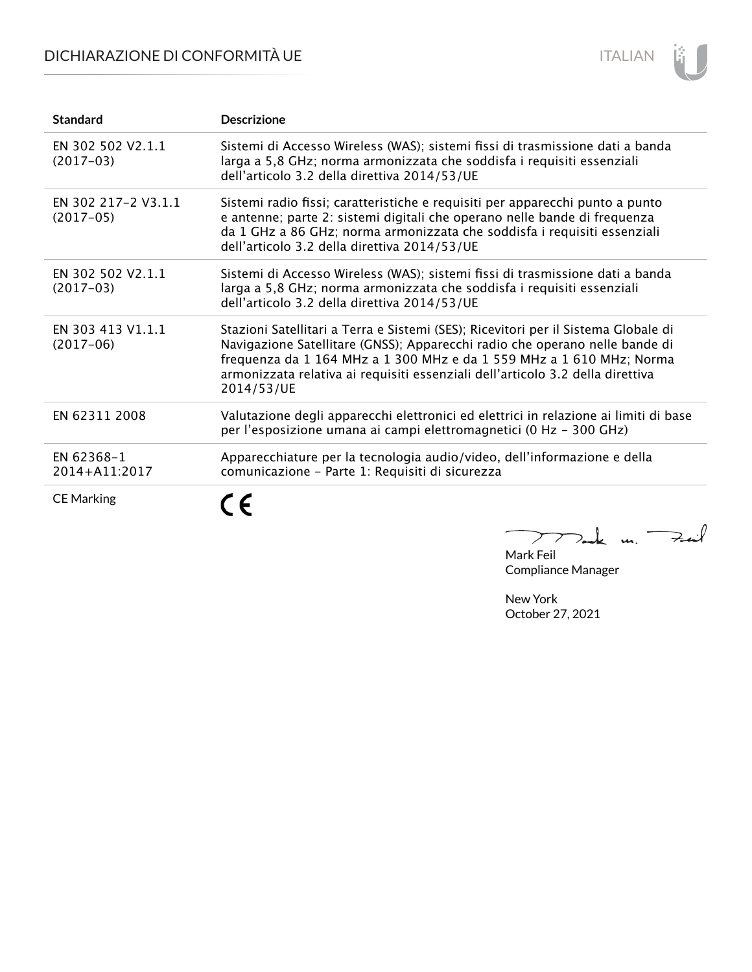## DICHIARAZIONE DI CONFORMITÀ UE



| <b>Standard</b>                    | <b>Descrizione</b>                                                                                                                                                                                                                                                                                                                        |
|------------------------------------|-------------------------------------------------------------------------------------------------------------------------------------------------------------------------------------------------------------------------------------------------------------------------------------------------------------------------------------------|
| EN 302 502 V2.1.1<br>$(2017-03)$   | Sistemi di Accesso Wireless (WAS); sistemi fissi di trasmissione dati a banda<br>larga a 5,8 GHz; norma armonizzata che soddisfa i requisiti essenziali<br>dell'articolo 3.2 della direttiva 2014/53/UE                                                                                                                                   |
| EN 302 217-2 V3.1.1<br>$(2017-05)$ | Sistemi radio fissi; caratteristiche e requisiti per apparecchi punto a punto<br>e antenne; parte 2: sistemi digitali che operano nelle bande di frequenza<br>da 1 GHz a 86 GHz; norma armonizzata che soddisfa i requisiti essenziali<br>dell'articolo 3.2 della direttiva 2014/53/UE                                                    |
| EN 302 502 V2.1.1<br>$(2017-03)$   | Sistemi di Accesso Wireless (WAS); sistemi fissi di trasmissione dati a banda<br>larga a 5,8 GHz; norma armonizzata che soddisfa i requisiti essenziali<br>dell'articolo 3.2 della direttiva 2014/53/UE                                                                                                                                   |
| EN 303 413 V1.1.1<br>$(2017-06)$   | Stazioni Satellitari a Terra e Sistemi (SES); Ricevitori per il Sistema Globale di<br>Navigazione Satellitare (GNSS); Apparecchi radio che operano nelle bande di<br>frequenza da 1 164 MHz a 1 300 MHz e da 1 559 MHz a 1 610 MHz; Norma<br>armonizzata relativa ai requisiti essenziali dell'articolo 3.2 della direttiva<br>2014/53/UE |
| EN 62311 2008                      | Valutazione degli apparecchi elettronici ed elettrici in relazione ai limiti di base<br>per l'esposizione umana ai campi elettromagnetici (0 Hz - 300 GHz)                                                                                                                                                                                |
| EN 62368-1<br>2014+A11:2017        | Apparecchiature per la tecnologia audio/video, dell'informazione e della<br>comunicazione - Parte 1: Requisiti di sicurezza                                                                                                                                                                                                               |
| <b>CE Marking</b>                  |                                                                                                                                                                                                                                                                                                                                           |

Mark Feil<br>Mark Feil  $\overline{\phantom{0}}$ 

Compliance Manager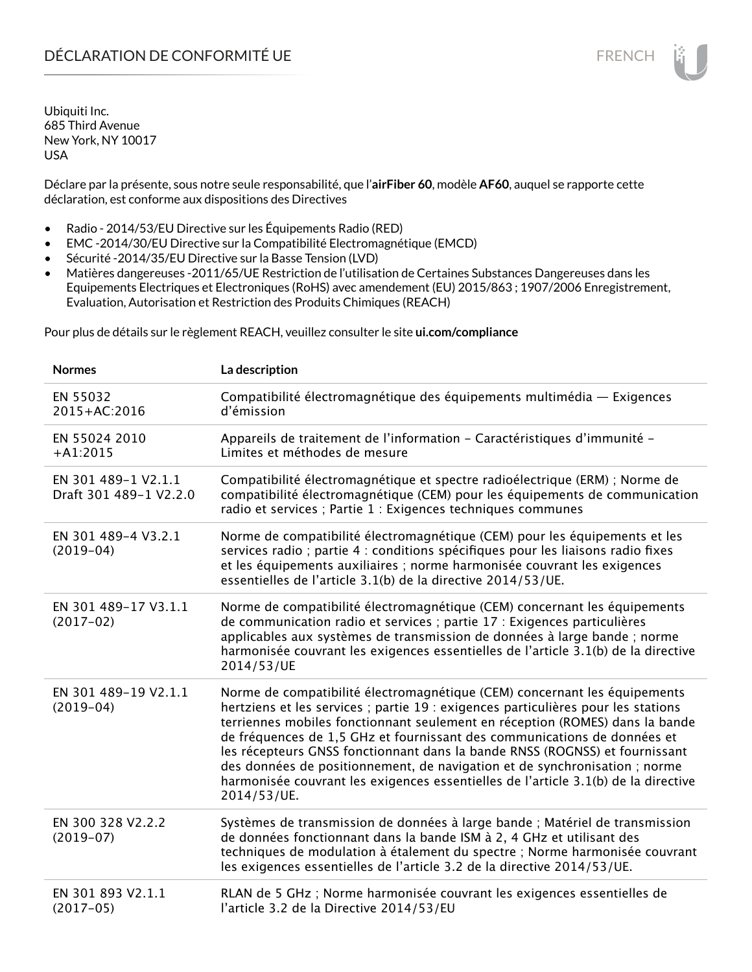Déclare par la présente, sous notre seule responsabilité, que l'**airFiber 60**, modèle **AF60**, auquel se rapporte cette déclaration, est conforme aux dispositions des Directives

- Radio 2014/53/EU Directive sur les Équipements Radio (RED)
- EMC -2014/30/EU Directive sur la Compatibilité Electromagnétique (EMCD)
- Sécurité -2014/35/EU Directive sur la Basse Tension (LVD)
- Matières dangereuses -2011/65/UE Restriction de l'utilisation de Certaines Substances Dangereuses dans les Equipements Electriques et Electroniques (RoHS) avec amendement (EU) 2015/863 ; 1907/2006 Enregistrement, Evaluation, Autorisation et Restriction des Produits Chimiques (REACH)

Pour plus de détails sur le règlement REACH, veuillez consulter le site **ui.com/compliance**

| <b>Normes</b>                                 | La description                                                                                                                                                                                                                                                                                                                                                                                                                                                                                                                                                                               |
|-----------------------------------------------|----------------------------------------------------------------------------------------------------------------------------------------------------------------------------------------------------------------------------------------------------------------------------------------------------------------------------------------------------------------------------------------------------------------------------------------------------------------------------------------------------------------------------------------------------------------------------------------------|
| EN 55032<br>2015+AC:2016                      | Compatibilité électromagnétique des équipements multimédia — Exigences<br>d'émission                                                                                                                                                                                                                                                                                                                                                                                                                                                                                                         |
| EN 55024 2010<br>$+A1:2015$                   | Appareils de traitement de l'information - Caractéristiques d'immunité -<br>Limites et méthodes de mesure                                                                                                                                                                                                                                                                                                                                                                                                                                                                                    |
| EN 301 489-1 V2.1.1<br>Draft 301 489-1 V2.2.0 | Compatibilité électromagnétique et spectre radioélectrique (ERM) ; Norme de<br>compatibilité électromagnétique (CEM) pour les équipements de communication<br>radio et services ; Partie 1 : Exigences techniques communes                                                                                                                                                                                                                                                                                                                                                                   |
| EN 301 489-4 V3.2.1<br>$(2019-04)$            | Norme de compatibilité électromagnétique (CEM) pour les équipements et les<br>services radio ; partie 4 : conditions spécifiques pour les liaisons radio fixes<br>et les équipements auxiliaires ; norme harmonisée couvrant les exigences<br>essentielles de l'article 3.1(b) de la directive 2014/53/UE.                                                                                                                                                                                                                                                                                   |
| EN 301 489-17 V3.1.1<br>$(2017-02)$           | Norme de compatibilité électromagnétique (CEM) concernant les équipements<br>de communication radio et services ; partie 17 : Exigences particulières<br>applicables aux systèmes de transmission de données à large bande ; norme<br>harmonisée couvrant les exigences essentielles de l'article 3.1(b) de la directive<br>2014/53/UE                                                                                                                                                                                                                                                       |
| EN 301 489-19 V2.1.1<br>$(2019-04)$           | Norme de compatibilité électromagnétique (CEM) concernant les équipements<br>hertziens et les services ; partie 19 : exigences particulières pour les stations<br>terriennes mobiles fonctionnant seulement en réception (ROMES) dans la bande<br>de fréquences de 1,5 GHz et fournissant des communications de données et<br>les récepteurs GNSS fonctionnant dans la bande RNSS (ROGNSS) et fournissant<br>des données de positionnement, de navigation et de synchronisation ; norme<br>harmonisée couvrant les exigences essentielles de l'article 3.1(b) de la directive<br>2014/53/UE. |
| EN 300 328 V2.2.2<br>$(2019-07)$              | Systèmes de transmission de données à large bande ; Matériel de transmission<br>de données fonctionnant dans la bande ISM à 2, 4 GHz et utilisant des<br>techniques de modulation à étalement du spectre ; Norme harmonisée couvrant<br>les exigences essentielles de l'article 3.2 de la directive 2014/53/UE.                                                                                                                                                                                                                                                                              |
| EN 301 893 V2.1.1<br>$(2017-05)$              | RLAN de 5 GHz ; Norme harmonisée couvrant les exigences essentielles de<br>l'article 3.2 de la Directive 2014/53/EU                                                                                                                                                                                                                                                                                                                                                                                                                                                                          |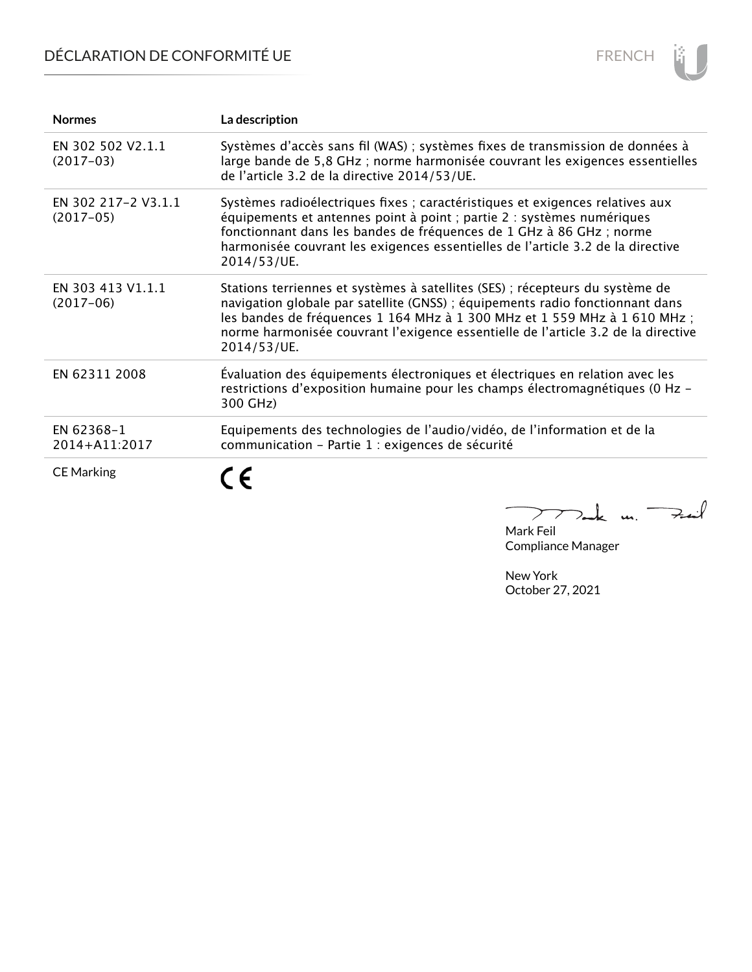# DÉCLARATION DE CONFORMITÉ UE



| <b>Normes</b>                      | La description                                                                                                                                                                                                                                                                                                                                  |
|------------------------------------|-------------------------------------------------------------------------------------------------------------------------------------------------------------------------------------------------------------------------------------------------------------------------------------------------------------------------------------------------|
| EN 302 502 V2.1.1<br>$(2017-03)$   | Systèmes d'accès sans fil (WAS) ; systèmes fixes de transmission de données à<br>large bande de 5,8 GHz; norme harmonisée couvrant les exigences essentielles<br>de l'article 3.2 de la directive 2014/53/UE.                                                                                                                                   |
| EN 302 217-2 V3.1.1<br>$(2017-05)$ | Systèmes radioélectriques fixes ; caractéristiques et exigences relatives aux<br>équipements et antennes point à point ; partie 2 : systèmes numériques<br>fonctionnant dans les bandes de fréquences de 1 GHz à 86 GHz ; norme<br>harmonisée couvrant les exigences essentielles de l'article 3.2 de la directive<br>2014/53/UE.               |
| EN 303 413 V1.1.1<br>$(2017-06)$   | Stations terriennes et systèmes à satellites (SES) ; récepteurs du système de<br>navigation globale par satellite (GNSS) ; équipements radio fonctionnant dans<br>les bandes de fréquences 1 164 MHz à 1 300 MHz et 1 559 MHz à 1 610 MHz ;<br>norme harmonisée couvrant l'exigence essentielle de l'article 3.2 de la directive<br>2014/53/UE. |
| EN 62311 2008                      | Évaluation des équipements électroniques et électriques en relation avec les<br>restrictions d'exposition humaine pour les champs électromagnétiques (0 Hz -<br>300 GHz)                                                                                                                                                                        |
| EN 62368-1<br>2014+A11:2017        | Equipements des technologies de l'audio/vidéo, de l'information et de la<br>communication - Partie 1 : exigences de sécurité                                                                                                                                                                                                                    |
| <b>CE Marking</b>                  |                                                                                                                                                                                                                                                                                                                                                 |

Mark Feil<br>Mark Feil  $\overline{\phantom{0}}$ 

Compliance Manager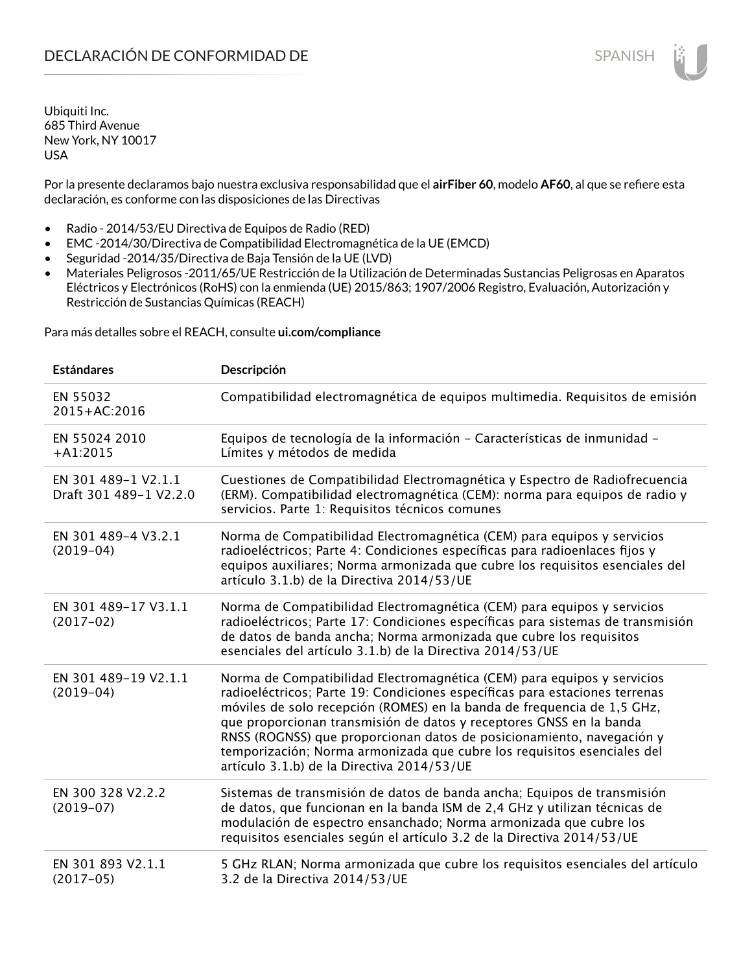Por la presente declaramos bajo nuestra exclusiva responsabilidad que el **airFiber 60**, modelo **AF60**, al que se refiere esta declaración, es conforme con las disposiciones de las Directivas

- Radio 2014/53/EU Directiva de Equipos de Radio (RED)
- EMC -2014/30/Directiva de Compatibilidad Electromagnética de la UE (EMCD)
- Seguridad -2014/35/Directiva de Baja Tensión de la UE (LVD)
- Materiales Peligrosos -2011/65/UE Restricción de la Utilización de Determinadas Sustancias Peligrosas en Aparatos Eléctricos y Electrónicos (RoHS) con la enmienda (UE) 2015/863; 1907/2006 Registro, Evaluación, Autorización y Restricción de Sustancias Químicas (REACH)

Para más detalles sobre el REACH, consulte **ui.com/compliance**

| <b>Estándares</b>                             | Descripción                                                                                                                                                                                                                                                                                                                                                                                                                                                                                                |
|-----------------------------------------------|------------------------------------------------------------------------------------------------------------------------------------------------------------------------------------------------------------------------------------------------------------------------------------------------------------------------------------------------------------------------------------------------------------------------------------------------------------------------------------------------------------|
| EN 55032<br>2015+AC:2016                      | Compatibilidad electromagnética de equipos multimedia. Requisitos de emisión                                                                                                                                                                                                                                                                                                                                                                                                                               |
| EN 55024 2010<br>$+A1:2015$                   | Equipos de tecnología de la información - Características de inmunidad -<br>Límites y métodos de medida                                                                                                                                                                                                                                                                                                                                                                                                    |
| EN 301 489-1 V2.1.1<br>Draft 301 489-1 V2.2.0 | Cuestiones de Compatibilidad Electromagnética y Espectro de Radiofrecuencia<br>(ERM). Compatibilidad electromagnética (CEM): norma para equipos de radio y<br>servicios. Parte 1: Requisitos técnicos comunes                                                                                                                                                                                                                                                                                              |
| EN 301 489-4 V3.2.1<br>$(2019-04)$            | Norma de Compatibilidad Electromagnética (CEM) para equipos y servicios<br>radioeléctricos; Parte 4: Condiciones específicas para radioenlaces fijos y<br>equipos auxiliares; Norma armonizada que cubre los requisitos esenciales del<br>artículo 3.1.b) de la Directiva 2014/53/UE                                                                                                                                                                                                                       |
| EN 301 489-17 V3.1.1<br>$(2017-02)$           | Norma de Compatibilidad Electromagnética (CEM) para equipos y servicios<br>radioeléctricos; Parte 17: Condiciones específicas para sistemas de transmisión<br>de datos de banda ancha; Norma armonizada que cubre los requisitos<br>esenciales del artículo 3.1.b) de la Directiva 2014/53/UE                                                                                                                                                                                                              |
| EN 301 489-19 V2.1.1<br>$(2019-04)$           | Norma de Compatibilidad Electromagnética (CEM) para equipos y servicios<br>radioeléctricos; Parte 19: Condiciones específicas para estaciones terrenas<br>móviles de solo recepción (ROMES) en la banda de frequencia de 1,5 GHz,<br>que proporcionan transmisión de datos y receptores GNSS en la banda<br>RNSS (ROGNSS) que proporcionan datos de posicionamiento, navegación y<br>temporización; Norma armonizada que cubre los requisitos esenciales del<br>artículo 3.1.b) de la Directiva 2014/53/UE |
| EN 300 328 V2.2.2<br>$(2019-07)$              | Sistemas de transmisión de datos de banda ancha; Equipos de transmisión<br>de datos, que funcionan en la banda ISM de 2,4 GHz y utilizan técnicas de<br>modulación de espectro ensanchado; Norma armonizada que cubre los<br>requisitos esenciales según el artículo 3.2 de la Directiva 2014/53/UE                                                                                                                                                                                                        |
| EN 301 893 V2.1.1<br>$(2017-05)$              | 5 GHz RLAN; Norma armonizada que cubre los requisitos esenciales del artículo<br>3.2 de la Directiva 2014/53/UE                                                                                                                                                                                                                                                                                                                                                                                            |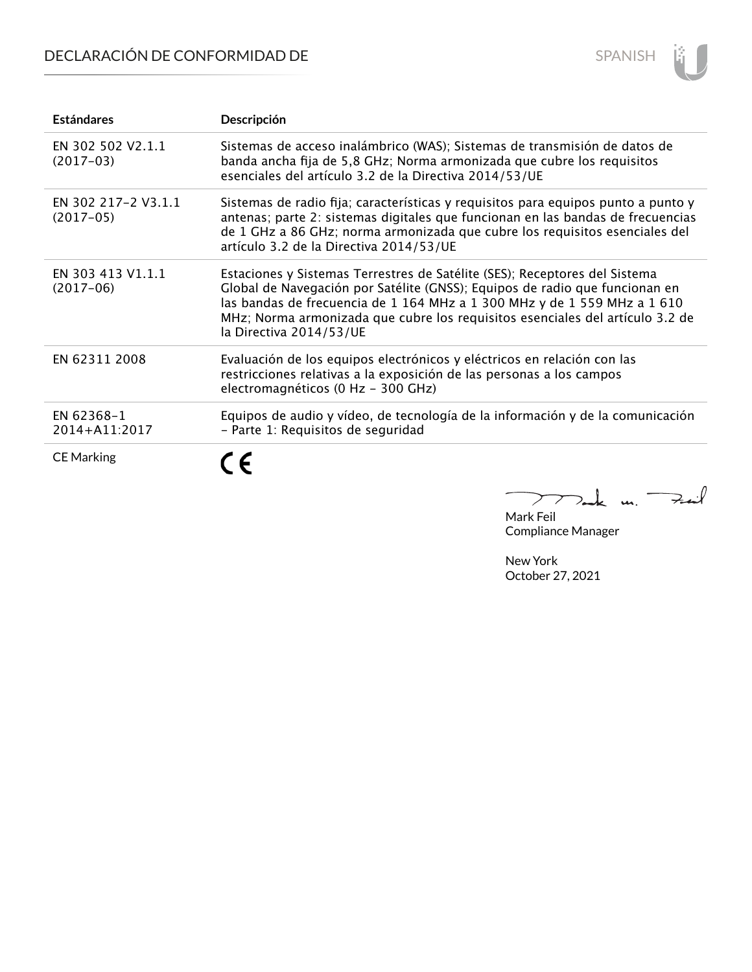## DECLARACIÓN DE CONFORMIDAD DE



| <b>Estándares</b>                  | Descripción                                                                                                                                                                                                                                                                                                                                       |
|------------------------------------|---------------------------------------------------------------------------------------------------------------------------------------------------------------------------------------------------------------------------------------------------------------------------------------------------------------------------------------------------|
| EN 302 502 V2.1.1<br>$(2017-03)$   | Sistemas de acceso inalámbrico (WAS); Sistemas de transmisión de datos de<br>banda ancha fija de 5,8 GHz; Norma armonizada que cubre los requisitos<br>esenciales del artículo 3.2 de la Directiva 2014/53/UE                                                                                                                                     |
| EN 302 217-2 V3.1.1<br>$(2017-05)$ | Sistemas de radio fija; características y requisitos para equipos punto a punto y<br>antenas; parte 2: sistemas digitales que funcionan en las bandas de frecuencias<br>de 1 GHz a 86 GHz; norma armonizada que cubre los requisitos esenciales del<br>artículo 3.2 de la Directiva 2014/53/UE                                                    |
| EN 303 413 V1.1.1<br>$(2017-06)$   | Estaciones y Sistemas Terrestres de Satélite (SES); Receptores del Sistema<br>Global de Navegación por Satélite (GNSS); Equipos de radio que funcionan en<br>las bandas de frecuencia de 1 164 MHz a 1 300 MHz y de 1 559 MHz a 1 610<br>MHz; Norma armonizada que cubre los requisitos esenciales del artículo 3.2 de<br>la Directiva 2014/53/UE |
| EN 62311 2008                      | Evaluación de los equipos electrónicos y eléctricos en relación con las<br>restricciones relativas a la exposición de las personas a los campos<br>electromagnéticos (0 Hz - 300 GHz)                                                                                                                                                             |
| EN 62368-1<br>2014+A11:2017        | Equipos de audio y vídeo, de tecnología de la información y de la comunicación<br>- Parte 1: Requisitos de seguridad                                                                                                                                                                                                                              |
| <b>CE Marking</b>                  | $\epsilon$                                                                                                                                                                                                                                                                                                                                        |

Mak m. Fail  $\overline{a}$ 

Mark Feil Compliance Manager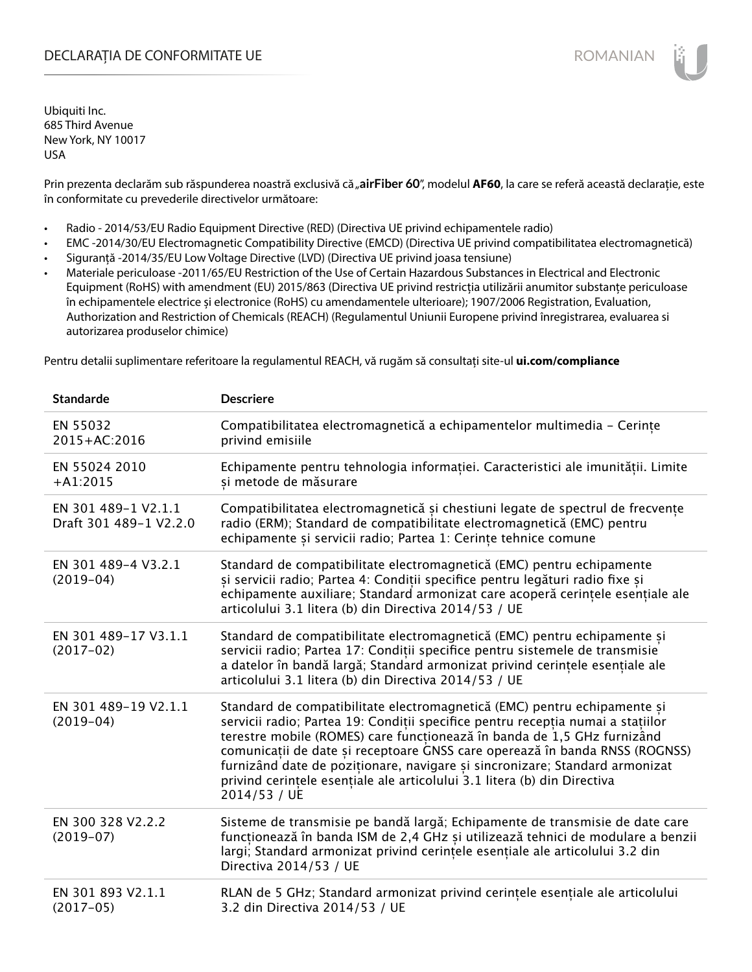### DECLARAȚIA DE CONFORMITATE UE EXECUTE DE ROMANIAN

Ubiquiti Inc. 685 Third Avenue New York, NY 10017 USA

Prin prezenta declarăm sub răspunderea noastră exclusivă că "airFiber 60", modelul AF60, la care se referă această declarație, este în conformitate cu prevederile directivelor următoare:

- Radio 2014/53/EU Radio Equipment Directive (RED) (Directiva UE privind echipamentele radio)
- EMC -2014/30/EU Electromagnetic Compatibility Directive (EMCD) (Directiva UE privind compatibilitatea electromagnetică)
- Siguranță -2014/35/EU Low Voltage Directive (LVD) (Directiva UE privind joasa tensiune)
- Materiale periculoase -2011/65/EU Restriction of the Use of Certain Hazardous Substances in Electrical and Electronic Equipment (RoHS) with amendment (EU) 2015/863 (Directiva UE privind restricția utilizării anumitor substanțe periculoase în echipamentele electrice și electronice (RoHS) cu amendamentele ulterioare); 1907/2006 Registration, Evaluation, Authorization and Restriction of Chemicals (REACH) (Regulamentul Uniunii Europene privind înregistrarea, evaluarea si autorizarea produselor chimice)

Pentru detalii suplimentare referitoare la regulamentul REACH, vă rugăm să consultați site-ul **ui.com/compliance**

| <b>Standarde</b>                              | <b>Descriere</b>                                                                                                                                                                                                                                                                                                                                                                                                                                                                                 |
|-----------------------------------------------|--------------------------------------------------------------------------------------------------------------------------------------------------------------------------------------------------------------------------------------------------------------------------------------------------------------------------------------------------------------------------------------------------------------------------------------------------------------------------------------------------|
| EN 55032<br>2015+AC:2016                      | Compatibilitatea electromagnetică a echipamentelor multimedia - Cerințe<br>privind emisiile                                                                                                                                                                                                                                                                                                                                                                                                      |
| EN 55024 2010<br>$+A1:2015$                   | Echipamente pentru tehnologia informației. Caracteristici ale imunității. Limite<br>si metode de măsurare                                                                                                                                                                                                                                                                                                                                                                                        |
| EN 301 489-1 V2.1.1<br>Draft 301 489-1 V2.2.0 | Compatibilitatea electromagnetică și chestiuni legate de spectrul de frecvențe<br>radio (ERM); Standard de compatibilitate electromagnetică (EMC) pentru<br>echipamente și servicii radio; Partea 1: Cerințe tehnice comune                                                                                                                                                                                                                                                                      |
| EN 301 489-4 V3.2.1<br>$(2019-04)$            | Standard de compatibilitate electromagnetică (EMC) pentru echipamente<br>și servicii radio; Partea 4: Condiții specifice pentru legături radio fixe și<br>echipamente auxiliare; Standard armonizat care acoperă cerințele esențiale ale<br>articolului 3.1 litera (b) din Directiva 2014/53 / UE                                                                                                                                                                                                |
| EN 301 489-17 V3.1.1<br>$(2017-02)$           | Standard de compatibilitate electromagnetică (EMC) pentru echipamente și<br>servicii radio; Partea 17: Condiții specifice pentru sistemele de transmisie<br>a datelor în bandă largă; Standard armonizat privind cerințele esențiale ale<br>articolului 3.1 litera (b) din Directiva 2014/53 / UE                                                                                                                                                                                                |
| EN 301 489-19 V2.1.1<br>$(2019-04)$           | Standard de compatibilitate electromagnetică (EMC) pentru echipamente și<br>servicii radio; Partea 19: Condiții specifice pentru recepția numai a stațiilor<br>terestre mobile (ROMES) care funcționează în banda de 1,5 GHz furnizând<br>comunicații de date și receptoare GNSS care operează în banda RNSS (ROGNSS)<br>furnizând date de poziționare, navigare și sincronizare; Standard armonizat<br>privind cerințele esențiale ale articolului 3.1 litera (b) din Directiva<br>2014/53 / UE |
| EN 300 328 V2.2.2<br>$(2019-07)$              | Sisteme de transmisie pe bandă largă; Echipamente de transmisie de date care<br>funcționează în banda ISM de 2,4 GHz și utilizează tehnici de modulare a benzii<br>largi; Standard armonizat privind cerințele esențiale ale articolului 3.2 din<br>Directiva 2014/53 / UE                                                                                                                                                                                                                       |
| EN 301 893 V2.1.1<br>$(2017-05)$              | RLAN de 5 GHz; Standard armonizat privind cerințele esențiale ale articolului<br>3.2 din Directiva 2014/53 / UE                                                                                                                                                                                                                                                                                                                                                                                  |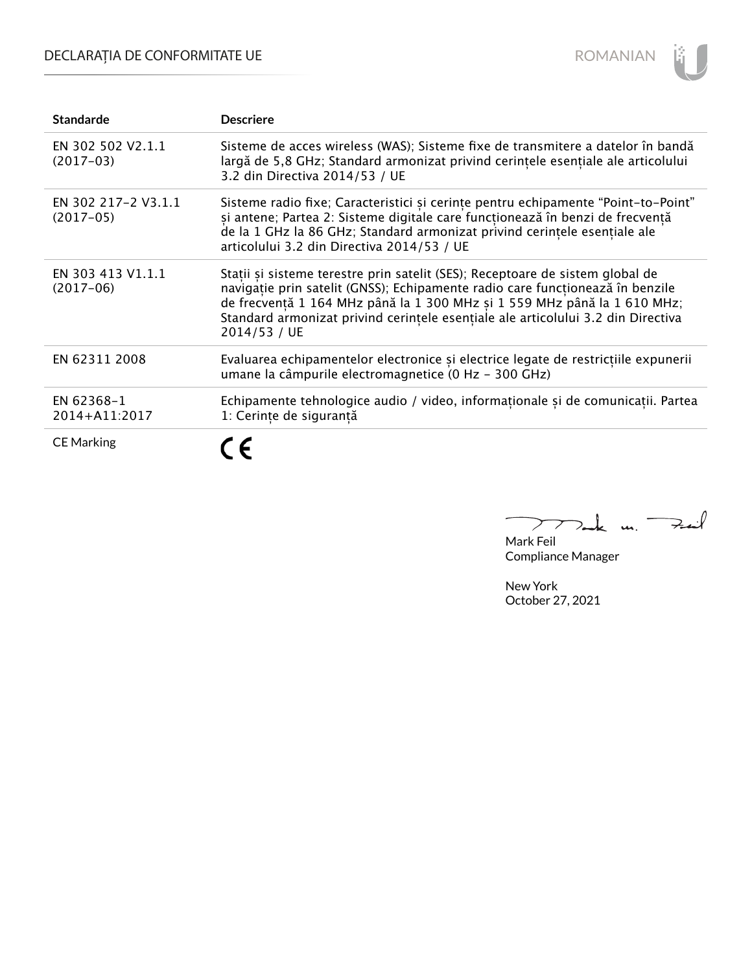## DECLARAȚIA DE CONFORMITATE UE



| <b>Standarde</b>                   | <b>Descriere</b>                                                                                                                                                                                                                                                                                                                               |
|------------------------------------|------------------------------------------------------------------------------------------------------------------------------------------------------------------------------------------------------------------------------------------------------------------------------------------------------------------------------------------------|
| EN 302 502 V2.1.1<br>$(2017-03)$   | Sisteme de acces wireless (WAS); Sisteme fixe de transmitere a datelor în bandă<br>largă de 5,8 GHz; Standard armonizat privind cerințele esențiale ale articolului<br>3.2 din Directiva 2014/53 / UE                                                                                                                                          |
| EN 302 217-2 V3.1.1<br>$(2017-05)$ | Sisteme radio fixe; Caracteristici și cerințe pentru echipamente "Point-to-Point"<br>și antene; Partea 2: Sisteme digitale care funcționează în benzi de frecvență<br>de la 1 GHz la 86 GHz; Standard armonizat privind cerintele esentiale ale<br>articolului 3.2 din Directiva 2014/53 / UE                                                  |
| EN 303 413 V1.1.1<br>$(2017-06)$   | Stații și sisteme terestre prin satelit (SES); Receptoare de sistem global de<br>navigație prin satelit (GNSS); Echipamente radio care funcționează în benzile<br>de frecvență 1 164 MHz până la 1 300 MHz și 1 559 MHz până la 1 610 MHz;<br>Standard armonizat privind cerintele esențiale ale articolului 3.2 din Directiva<br>2014/53 / UE |
| EN 62311 2008                      | Evaluarea echipamentelor electronice și electrice legate de restricțiile expunerii<br>umane la câmpurile electromagnetice (0 Hz - 300 GHz)                                                                                                                                                                                                     |
| EN 62368-1<br>2014+A11:2017        | Echipamente tehnologice audio / video, informaționale și de comunicații. Partea<br>1: Cerințe de siguranță                                                                                                                                                                                                                                     |
| <b>CE Marking</b>                  |                                                                                                                                                                                                                                                                                                                                                |

 $k$  m. Fail  $\overline{\phantom{0}}$  $\searrow$ 

Mark Feil Compliance Manager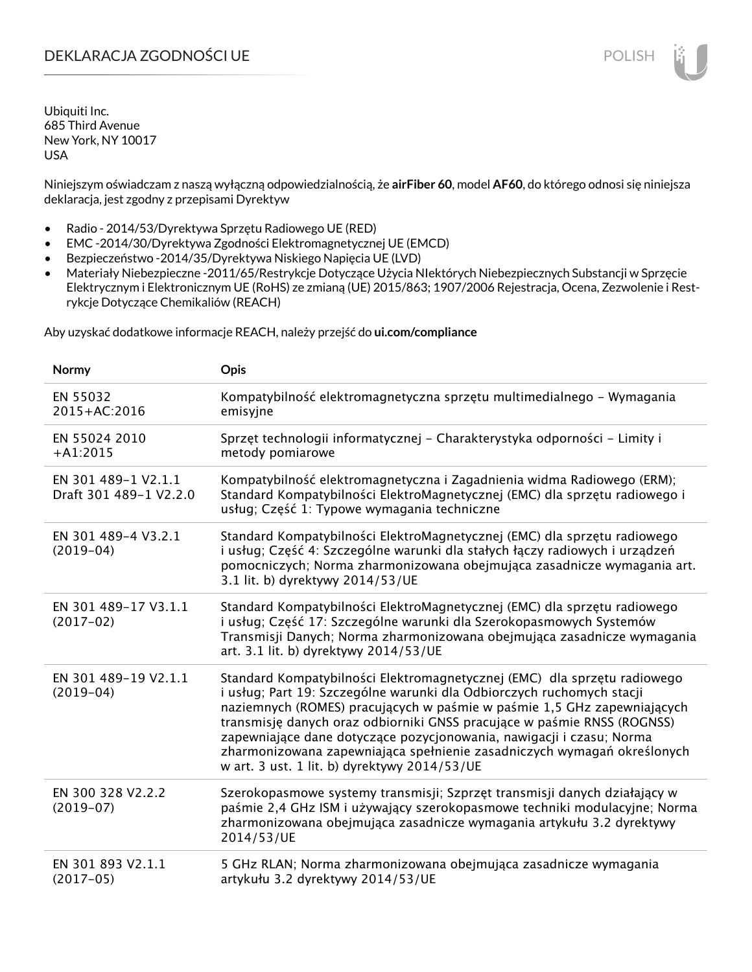### DEKLARACJA ZGODNOŚCI UE POLISH POLISH

Ubiquiti Inc. 685 Third Avenue New York, NY 10017 USA

Niniejszym oświadczam z naszą wyłączną odpowiedzialnością, że **airFiber 60**, model **AF60**, do którego odnosi się niniejsza deklaracja, jest zgodny z przepisami Dyrektyw

- Radio 2014/53/Dyrektywa Sprzętu Radiowego UE (RED)
- EMC -2014/30/Dyrektywa Zgodności Elektromagnetycznej UE (EMCD)
- Bezpieczeństwo -2014/35/Dyrektywa Niskiego Napięcia UE (LVD)
- Materiały Niebezpieczne -2011/65/Restrykcje Dotyczące Użycia NIektórych Niebezpiecznych Substancji w Sprzęcie Elektrycznym i Elektronicznym UE (RoHS) ze zmianą (UE) 2015/863; 1907/2006 Rejestracja, Ocena, Zezwolenie i Restrykcje Dotyczące Chemikaliów (REACH)

Aby uzyskać dodatkowe informacje REACH, należy przejść do **ui.com/compliance**

| Normy                                         | Opis                                                                                                                                                                                                                                                                                                                                                                                                                                                                                                       |
|-----------------------------------------------|------------------------------------------------------------------------------------------------------------------------------------------------------------------------------------------------------------------------------------------------------------------------------------------------------------------------------------------------------------------------------------------------------------------------------------------------------------------------------------------------------------|
| EN 55032<br>2015+AC:2016                      | Kompatybilność elektromagnetyczna sprzętu multimedialnego - Wymagania<br>emisyjne                                                                                                                                                                                                                                                                                                                                                                                                                          |
| EN 55024 2010<br>$+A1:2015$                   | Sprzęt technologii informatycznej – Charakterystyka odporności – Limity i<br>metody pomiarowe                                                                                                                                                                                                                                                                                                                                                                                                              |
| EN 301 489-1 V2.1.1<br>Draft 301 489-1 V2.2.0 | Kompatybilność elektromagnetyczna i Zagadnienia widma Radiowego (ERM);<br>Standard Kompatybilności ElektroMagnetycznej (EMC) dla sprzętu radiowego i<br>usług; Część 1: Typowe wymagania techniczne                                                                                                                                                                                                                                                                                                        |
| EN 301 489-4 V3.2.1<br>$(2019-04)$            | Standard Kompatybilności ElektroMagnetycznej (EMC) dla sprzętu radiowego<br>i usług; Część 4: Szczególne warunki dla stałych łączy radiowych i urządzeń<br>pomocniczych; Norma zharmonizowana obejmująca zasadnicze wymagania art.<br>3.1 lit. b) dyrektywy 2014/53/UE                                                                                                                                                                                                                                     |
| EN 301 489-17 V3.1.1<br>$(2017-02)$           | Standard Kompatybilności ElektroMagnetycznej (EMC) dla sprzętu radiowego<br>i usług; Część 17: Szczególne warunki dla Szerokopasmowych Systemów<br>Transmisji Danych; Norma zharmonizowana obejmująca zasadnicze wymagania<br>art. 3.1 lit. b) dyrektywy 2014/53/UE                                                                                                                                                                                                                                        |
| EN 301 489-19 V2.1.1<br>$(2019-04)$           | Standard Kompatybilności Elektromagnetycznej (EMC) dla sprzętu radiowego<br>i usług; Part 19: Szczególne warunki dla Odbiorczych ruchomych stacji<br>naziemnych (ROMES) pracujących w paśmie w paśmie 1,5 GHz zapewniających<br>transmisję danych oraz odbiorniki GNSS pracujące w paśmie RNSS (ROGNSS)<br>zapewniające dane dotyczące pozycjonowania, nawigacji i czasu; Norma<br>zharmonizowana zapewniająca spełnienie zasadniczych wymagań określonych<br>w art. 3 ust. 1 lit. b) dyrektywy 2014/53/UE |
| EN 300 328 V2.2.2<br>$(2019-07)$              | Szerokopasmowe systemy transmisji; Szprzęt transmisji danych działający w<br>paśmie 2,4 GHz ISM i używający szerokopasmowe techniki modulacyjne; Norma<br>zharmonizowana obejmująca zasadnicze wymagania artykułu 3.2 dyrektywy<br>2014/53/UE                                                                                                                                                                                                                                                              |
| EN 301 893 V2.1.1<br>$(2017-05)$              | 5 GHz RLAN; Norma zharmonizowana obejmująca zasadnicze wymagania<br>artykułu 3.2 dyrektywy 2014/53/UE                                                                                                                                                                                                                                                                                                                                                                                                      |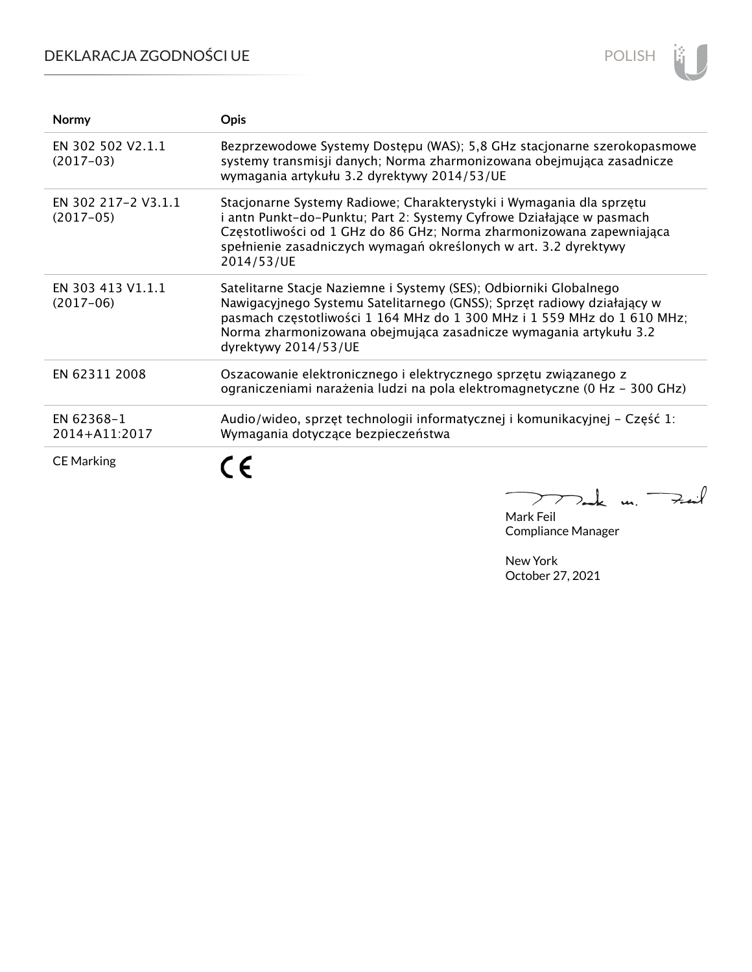## DEKLARACJA ZGODNOŚCI UE



| Normy                              | <b>Opis</b>                                                                                                                                                                                                                                                                                                           |
|------------------------------------|-----------------------------------------------------------------------------------------------------------------------------------------------------------------------------------------------------------------------------------------------------------------------------------------------------------------------|
| EN 302 502 V2.1.1<br>$(2017-03)$   | Bezprzewodowe Systemy Dostępu (WAS); 5,8 GHz stacjonarne szerokopasmowe<br>systemy transmisji danych; Norma zharmonizowana obejmująca zasadnicze<br>wymagania artykułu 3.2 dyrektywy 2014/53/UE                                                                                                                       |
| EN 302 217-2 V3.1.1<br>$(2017-05)$ | Stacjonarne Systemy Radiowe; Charakterystyki i Wymagania dla sprzętu<br>i antn Punkt-do-Punktu; Part 2: Systemy Cyfrowe Działające w pasmach<br>Częstotliwości od 1 GHz do 86 GHz; Norma zharmonizowana zapewniająca<br>spełnienie zasadniczych wymagań określonych w art. 3.2 dyrektywy<br>2014/53/UE                |
| EN 303 413 V1.1.1<br>$(2017-06)$   | Satelitarne Stacje Naziemne i Systemy (SES); Odbiorniki Globalnego<br>Nawigacyjnego Systemu Satelitarnego (GNSS); Sprzęt radiowy działający w<br>pasmach częstotliwości 1 164 MHz do 1 300 MHz i 1 559 MHz do 1 610 MHz;<br>Norma zharmonizowana obejmująca zasadnicze wymagania artykułu 3.2<br>dyrektywy 2014/53/UE |
| EN 62311 2008                      | Oszacowanie elektronicznego i elektrycznego sprzętu związanego z<br>ograniczeniami narażenia ludzi na pola elektromagnetyczne (0 Hz - 300 GHz)                                                                                                                                                                        |
| EN 62368-1<br>2014+A11:2017        | Audio/wideo, sprzęt technologii informatycznej i komunikacyjnej – Część 1:<br>Wymagania dotyczące bezpieczeństwa                                                                                                                                                                                                      |
| <b>CE Marking</b>                  |                                                                                                                                                                                                                                                                                                                       |

Mak m. Fail

Mark Feil Compliance Manager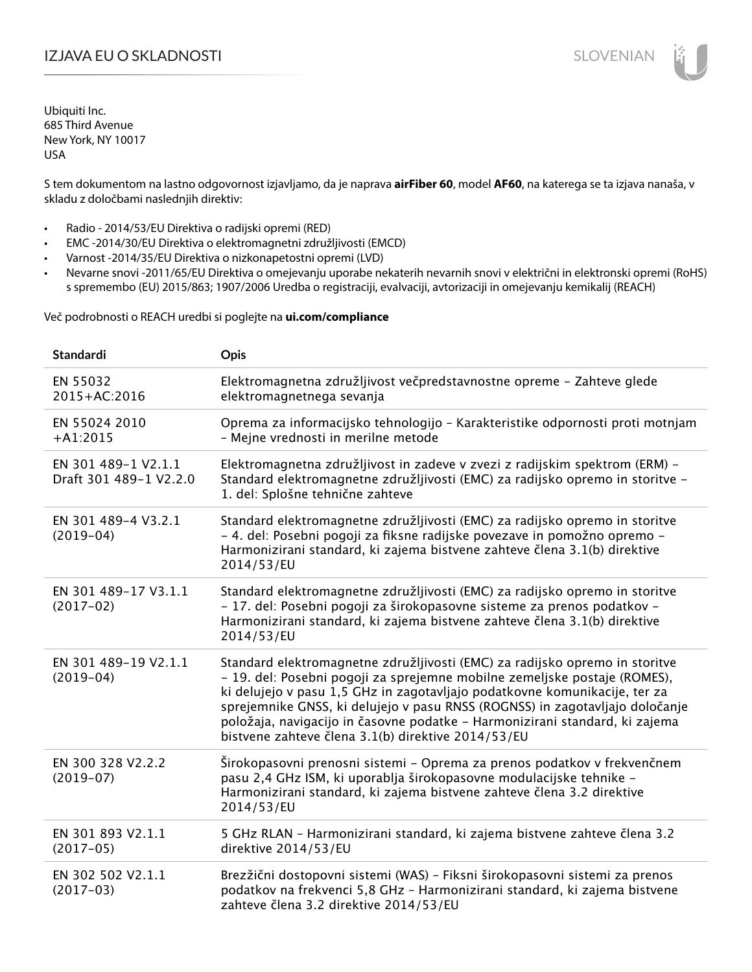## IZJAVA EU O SKLADNOSTI SLOVENIAN

Ubiquiti Inc. 685 Third Avenue New York, NY 10017 USA

S tem dokumentom na lastno odgovornost izjavljamo, da je naprava **airFiber 60**, model **AF60**, na katerega se ta izjava nanaša, v skladu z določbami naslednjih direktiv:

- Radio 2014/53/EU Direktiva o radijski opremi (RED)
- EMC -2014/30/EU Direktiva o elektromagnetni združljivosti (EMCD)
- Varnost -2014/35/EU Direktiva o nizkonapetostni opremi (LVD)
- Nevarne snovi -2011/65/EU Direktiva o omejevanju uporabe nekaterih nevarnih snovi v električni in elektronski opremi (RoHS) s spremembo (EU) 2015/863; 1907/2006 Uredba o registraciji, evalvaciji, avtorizaciji in omejevanju kemikalij (REACH)

Več podrobnosti o REACH uredbi si poglejte na **ui.com/compliance**

| <b>Standardi</b>                              | Opis                                                                                                                                                                                                                                                                                                                                                                                                                                                        |
|-----------------------------------------------|-------------------------------------------------------------------------------------------------------------------------------------------------------------------------------------------------------------------------------------------------------------------------------------------------------------------------------------------------------------------------------------------------------------------------------------------------------------|
| EN 55032<br>2015+AC:2016                      | Elektromagnetna združljivost večpredstavnostne opreme - Zahteve glede<br>elektromagnetnega sevanja                                                                                                                                                                                                                                                                                                                                                          |
| EN 55024 2010<br>$+A1:2015$                   | Oprema za informacijsko tehnologijo - Karakteristike odpornosti proti motnjam<br>- Mejne vrednosti in merilne metode                                                                                                                                                                                                                                                                                                                                        |
| EN 301 489-1 V2.1.1<br>Draft 301 489-1 V2.2.0 | Elektromagnetna združljivost in zadeve v zvezi z radijskim spektrom (ERM) -<br>Standard elektromagnetne združljivosti (EMC) za radijsko opremo in storitve -<br>1. del: Splošne tehnične zahteve                                                                                                                                                                                                                                                            |
| EN 301 489-4 V3.2.1<br>$(2019-04)$            | Standard elektromagnetne združljivosti (EMC) za radijsko opremo in storitve<br>- 4. del: Posebni pogoji za fiksne radijske povezave in pomožno opremo -<br>Harmonizirani standard, ki zajema bistvene zahteve člena 3.1(b) direktive<br>2014/53/EU                                                                                                                                                                                                          |
| EN 301 489-17 V3.1.1<br>$(2017-02)$           | Standard elektromagnetne združljivosti (EMC) za radijsko opremo in storitve<br>- 17. del: Posebni pogoji za širokopasovne sisteme za prenos podatkov -<br>Harmonizirani standard, ki zajema bistvene zahteve člena 3.1(b) direktive<br>2014/53/EU                                                                                                                                                                                                           |
| EN 301 489-19 V2.1.1<br>$(2019-04)$           | Standard elektromagnetne združljivosti (EMC) za radijsko opremo in storitve<br>- 19. del: Posebni pogoji za sprejemne mobilne zemeljske postaje (ROMES),<br>ki delujejo v pasu 1,5 GHz in zagotavljajo podatkovne komunikacije, ter za<br>sprejemnike GNSS, ki delujejo v pasu RNSS (ROGNSS) in zagotavljajo določanje<br>položaja, navigacijo in časovne podatke - Harmonizirani standard, ki zajema<br>bistvene zahteve člena 3.1(b) direktive 2014/53/EU |
| EN 300 328 V2.2.2<br>$(2019-07)$              | Širokopasovni prenosni sistemi - Oprema za prenos podatkov v frekvenčnem<br>pasu 2,4 GHz ISM, ki uporablja širokopasovne modulacijske tehnike -<br>Harmonizirani standard, ki zajema bistvene zahteve člena 3.2 direktive<br>2014/53/EU                                                                                                                                                                                                                     |
| EN 301 893 V2.1.1<br>$(2017-05)$              | 5 GHz RLAN - Harmonizirani standard, ki zajema bistvene zahteve člena 3.2<br>direktive 2014/53/EU                                                                                                                                                                                                                                                                                                                                                           |
| EN 302 502 V2.1.1<br>$(2017-03)$              | Brezžični dostopovni sistemi (WAS) - Fiksni širokopasovni sistemi za prenos<br>podatkov na frekvenci 5,8 GHz - Harmonizirani standard, ki zajema bistvene<br>zahteve člena 3.2 direktive 2014/53/EU                                                                                                                                                                                                                                                         |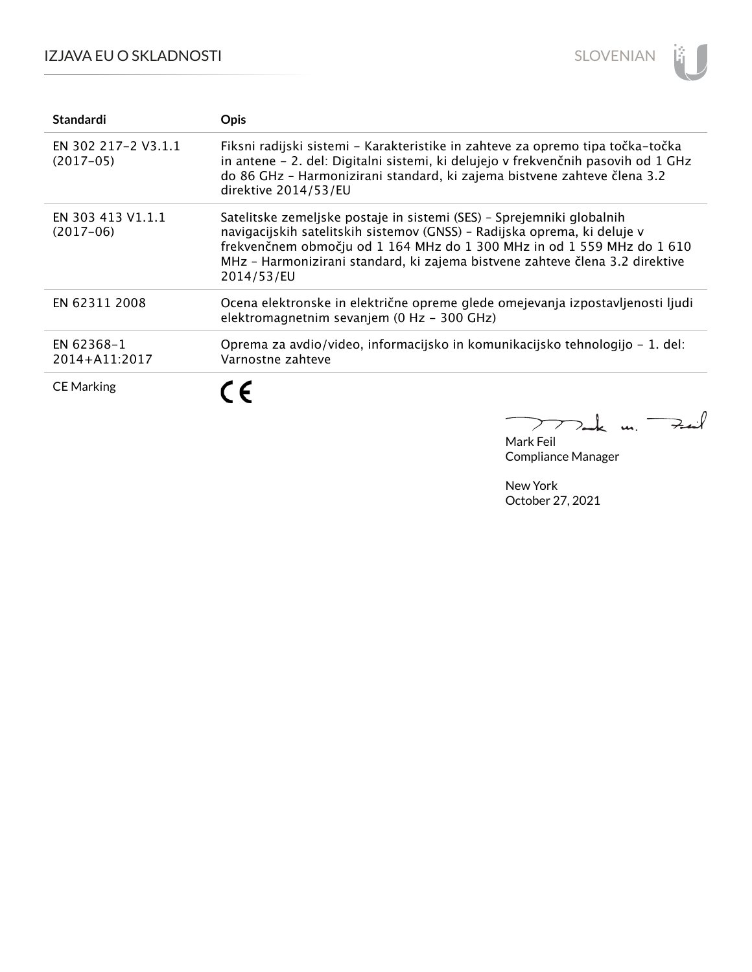### IZJAVA EU O SKLADNOSTI



| <b>Standardi</b>                   | <b>Opis</b>                                                                                                                                                                                                                                                                                                               |
|------------------------------------|---------------------------------------------------------------------------------------------------------------------------------------------------------------------------------------------------------------------------------------------------------------------------------------------------------------------------|
| EN 302 217-2 V3.1.1<br>$(2017-05)$ | Fiksni radijski sistemi - Karakteristike in zahteve za opremo tipa točka-točka<br>in antene – 2. del: Digitalni sistemi, ki delujejo v frekvenčnih pasovih od 1 GHz<br>do 86 GHz - Harmonizirani standard, ki zajema bistvene zahteve člena 3.2<br>direktive 2014/53/EU                                                   |
| EN 303 413 V1.1.1<br>$(2017-06)$   | Satelitske zemeljske postaje in sistemi (SES) - Sprejemniki globalnih<br>navigacijskih satelitskih sistemov (GNSS) - Radijska oprema, ki deluje v<br>frekvenčnem območju od 1 164 MHz do 1 300 MHz in od 1 559 MHz do 1 610<br>MHz - Harmonizirani standard, ki zajema bistvene zahteve člena 3.2 direktive<br>2014/53/EU |
| EN 62311 2008                      | Ocena elektronske in električne opreme glede omejevanja izpostavljenosti ljudi<br>elektromagnetnim sevanjem (0 Hz - 300 GHz)                                                                                                                                                                                              |
| EN 62368-1<br>2014+A11:2017        | Oprema za avdio/video, informacijsko in komunikacijsko tehnologijo – 1. del:<br>Varnostne zahteve                                                                                                                                                                                                                         |
| <b>CE Marking</b>                  | $\epsilon$                                                                                                                                                                                                                                                                                                                |

 $k$  m. Fail  $\sum$ 

Mark Feil Compliance Manager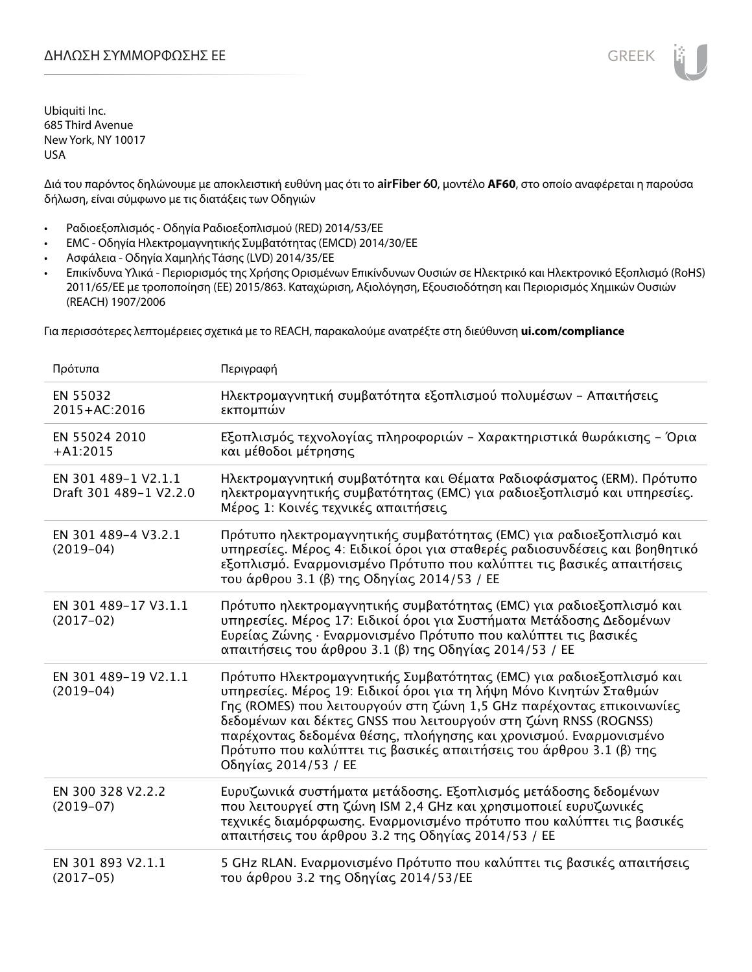Διά του παρόντος δηλώνουμε με αποκλειστική ευθύνη μας ότι το **airFiber 60**, μοντέλο **AF60**, στο οποίο αναφέρεται η παρούσα δήλωση, είναι σύμφωνο με τις διατάξεις των Οδηγιών

- Ραδιοεξοπλισμός Οδηγία Ραδιοεξοπλισμού (RED) 2014/53/ΕΕ
- EMC Οδηγία Ηλεκτρομαγνητικής Συμβατότητας (EMCD) 2014/30/ΕΕ
- Ασφάλεια Οδηγία Χαμηλής Τάσης (LVD) 2014/35/ΕΕ
- Επικίνδυνα Υλικά Περιορισμός της Χρήσης Ορισμένων Επικίνδυνων Ουσιών σε Ηλεκτρικό και Ηλεκτρονικό Εξοπλισμό (RoHS) 2011/65/ΕΕ με τροποποίηση (ΕΕ) 2015/863. Καταχώριση, Αξιολόγηση, Εξουσιοδότηση και Περιορισμός Χημικών Ουσιών (REACH) 1907/2006

Για περισσότερες λεπτομέρειες σχετικά με το REACH, παρακαλούμε ανατρέξτε στη διεύθυνση **ui.com/compliance**

| Πρότυπα                                       | Περιγραφή                                                                                                                                                                                                                                                                                                                                                                                                                                                |
|-----------------------------------------------|----------------------------------------------------------------------------------------------------------------------------------------------------------------------------------------------------------------------------------------------------------------------------------------------------------------------------------------------------------------------------------------------------------------------------------------------------------|
| EN 55032<br>2015+AC:2016                      | Ηλεκτρομαγνητική συμβατότητα εξοπλισμού πολυμέσων - Απαιτήσεις<br>εκπομπών                                                                                                                                                                                                                                                                                                                                                                               |
| EN 55024 2010<br>$+A1:2015$                   | Εξοπλισμός τεχνολογίας πληροφοριών - Χαρακτηριστικά θωράκισης - Όρια<br>και μέθοδοι μέτρησης                                                                                                                                                                                                                                                                                                                                                             |
| EN 301 489-1 V2.1.1<br>Draft 301 489-1 V2.2.0 | Ηλεκτρομαγνητική συμβατότητα και Θέματα Ραδιοφάσματος (ERM). Πρότυπο<br>ηλεκτρομαγνητικής συμβατότητας (EMC) για ραδιοεξοπλισμό και υπηρεσίες.<br>Μέρος 1: Κοινές τεχνικές απαιτήσεις                                                                                                                                                                                                                                                                    |
| EN 301 489-4 V3.2.1<br>$(2019-04)$            | Πρότυπο ηλεκτρομαγνητικής συμβατότητας (ΕΜC) για ραδιοεξοπλισμό και<br>υπηρεσίες. Μέρος 4: Ειδικοί όροι για σταθερές ραδιοσυνδέσεις και βοηθητικό<br>εξοπλισμό. Εναρμονισμένο Πρότυπο που καλύπτει τις βασικές απαιτήσεις<br>του άρθρου 3.1 (β) της Οδηγίας 2014/53 / ΕΕ                                                                                                                                                                                 |
| EN 301 489-17 V3.1.1<br>$(2017-02)$           | Πρότυπο ηλεκτρομαγνητικής συμβατότητας (ΕΜC) για ραδιοεξοπλισμό και<br>υπηρεσίες. Μέρος 17: Ειδικοί όροι για Συστήματα Μετάδοσης Δεδομένων<br>Ευρείας Ζώνης · Εναρμονισμένο Πρότυπο που καλύπτει τις βασικές<br>απαιτήσεις του άρθρου 3.1 (β) της Οδηγίας 2014/53 / ΕΕ                                                                                                                                                                                   |
| EN 301 489-19 V2.1.1<br>$(2019-04)$           | Πρότυπο Ηλεκτρομαγνητικής Συμβατότητας (ΕΜC) για ραδιοεξοπλισμό και<br>υπηρεσίες. Μέρος 19: Ειδικοί όροι για τη λήψη Μόνο Κινητών Σταθμών<br>Γης (ROMES) που λειτουργούν στη ζώνη 1,5 GHz παρέχοντας επικοινωνίες<br>δεδομένων και δέκτες GNSS που λειτουργούν στη ζώνη RNSS (ROGNSS)<br>παρέχοντας δεδομένα θέσης, πλοήγησης και χρονισμού. Εναρμονισμένο<br>Πρότυπο που καλύπτει τις βασικές απαιτήσεις του άρθρου 3.1 (β) της<br>Οδηγίας 2014/53 / ΕΕ |
| EN 300 328 V2.2.2<br>$(2019-07)$              | Ευρυζωνικά συστήματα μετάδοσης. Εξοπλισμός μετάδοσης δεδομένων<br>που λειτουργεί στη ζώνη ISM 2,4 GHz και χρησιμοποιεί ευρυζωνικές<br>τεχνικές διαμόρφωσης. Εναρμονισμένο πρότυπο που καλύπτει τις βασικές<br>απαιτήσεις του άρθρου 3.2 της Οδηγίας 2014/53 / ΕΕ                                                                                                                                                                                         |
| EN 301 893 V2.1.1<br>$(2017-05)$              | 5 GHz RLAN. Εναρμονισμένο Πρότυπο που καλύπτει τις βασικές απαιτήσεις<br>του άρθρου 3.2 της Οδηγίας 2014/53/ΕΕ                                                                                                                                                                                                                                                                                                                                           |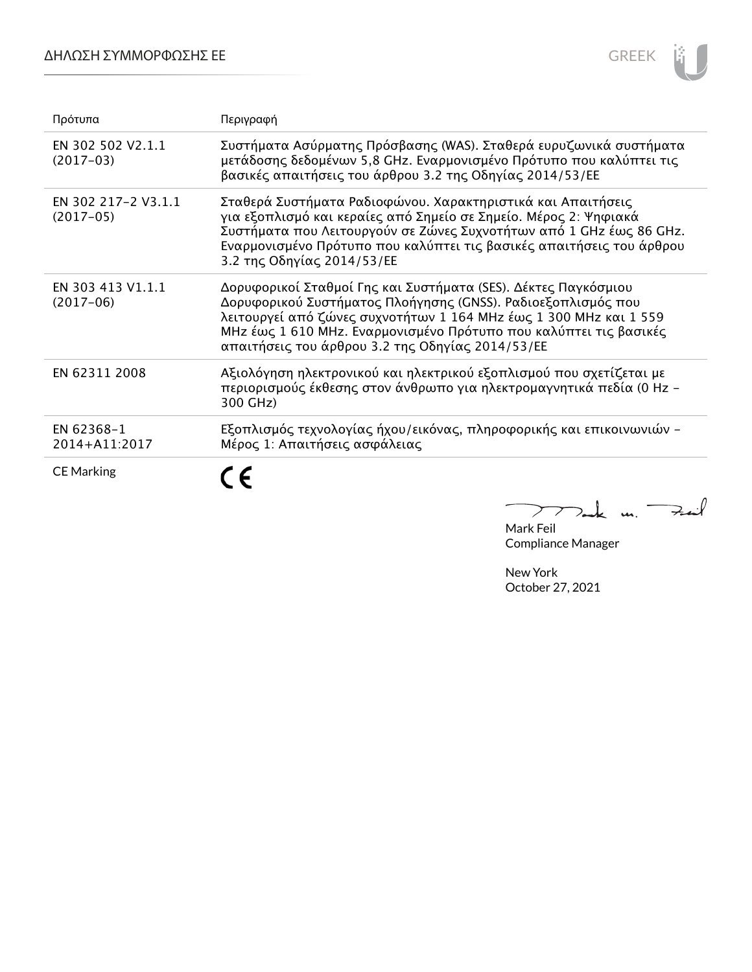### ΔΗΛΩΣΗ ΣΥΜΜΟΡΦΩΣΗΣ ΕΕ



| Πρότυπα                            | Περιγραφή                                                                                                                                                                                                                                                                                                                    |
|------------------------------------|------------------------------------------------------------------------------------------------------------------------------------------------------------------------------------------------------------------------------------------------------------------------------------------------------------------------------|
| EN 302 502 V2.1.1<br>$(2017-03)$   | Συστήματα Ασύρματης Πρόσβασης (WAS). Σταθερά ευρυζωνικά συστήματα<br>μετάδοσης δεδομένων 5,8 GHz. Εναρμονισμένο Πρότυπο που καλύπτει τις<br>βασικές απαιτήσεις του άρθρου 3.2 της Οδηγίας 2014/53/ΕΕ                                                                                                                         |
| EN 302 217-2 V3.1.1<br>$(2017-05)$ | Σταθερά Συστήματα Ραδιοφώνου. Χαρακτηριστικά και Απαιτήσεις<br>για εξοπλισμό και κεραίες από Σημείο σε Σημείο. Μέρος 2: Ψηφιακά<br>Συστήματα που Λειτουργούν σε Ζώνες Συχνοτήτων από 1 GHz έως 86 GHz.<br>Εναρμονισμένο Πρότυπο που καλύπτει τις βασικές απαιτήσεις του άρθρου<br>3.2 της Οδηγίας 2014/53/ΕΕ                 |
| EN 303 413 V1.1.1<br>$(2017-06)$   | Δορυφορικοί Σταθμοί Γης και Συστήματα (SES). Δέκτες Παγκόσμιου<br>Δορυφορικού Συστήματος Πλοήγησης (GNSS). Ραδιοεξοπλισμός που<br>λειτουργεί από ζώνες συχνοτήτων 1 164 MHz έως 1 300 MHz και 1 559<br>MHz έως 1 610 MHz. Εναρμονισμένο Πρότυπο που καλύπτει τις βασικές<br>απαιτήσεις του άρθρου 3.2 της Οδηγίας 2014/53/ΕΕ |
| EN 62311 2008                      | Αξιολόγηση ηλεκτρονικού και ηλεκτρικού εξοπλισμού που σχετίζεται με<br>περιορισμούς έκθεσης στον άνθρωπο για ηλεκτρομαγνητικά πεδία (0 Hz -<br>300 GHz)                                                                                                                                                                      |
| EN 62368-1<br>2014+A11:2017        | Εξοπλισμός τεχνολογίας ήχου/εικόνας, πληροφορικής και επικοινωνιών -<br>Μέρος 1: Απαιτήσεις ασφάλειας                                                                                                                                                                                                                        |
| <b>CE Marking</b>                  |                                                                                                                                                                                                                                                                                                                              |

mak m. Fail Mark Feil

Compliance Manager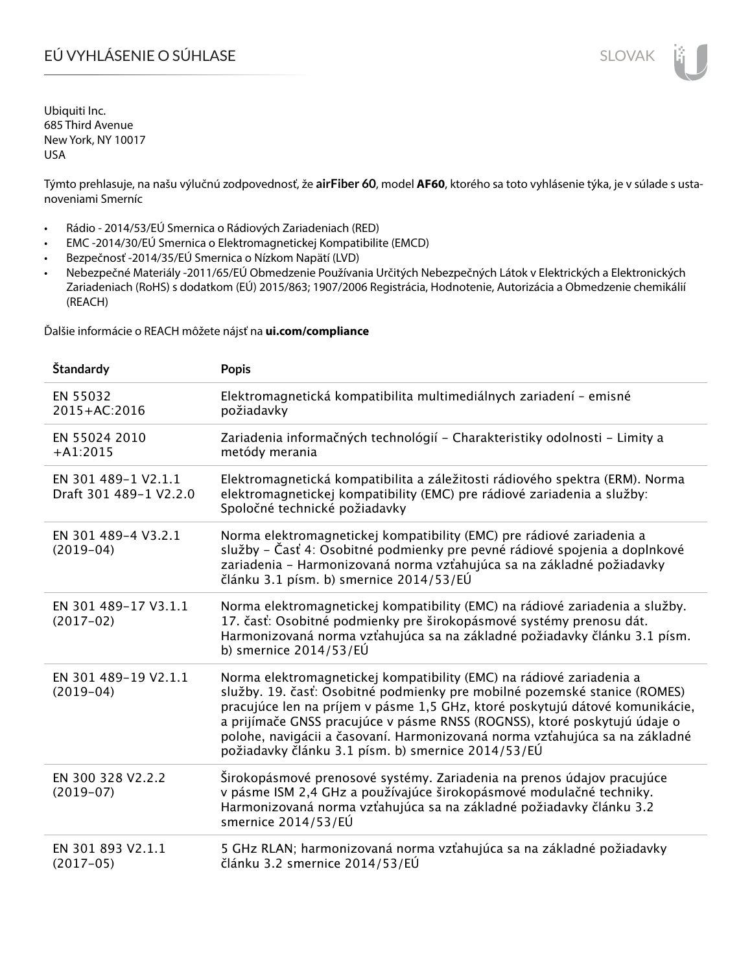# EÚ VYHLÁSENIE O SÚHLASE SLOVAK SLOVAK

Ubiquiti Inc. 685 Third Avenue New York, NY 10017 USA

Týmto prehlasuje, na našu výlučnú zodpovednosť, že **airFiber 60**, model **AF60**, ktorého sa toto vyhlásenie týka, je v súlade s ustanoveniami Smerníc

- Rádio 2014/53/EÚ Smernica o Rádiových Zariadeniach (RED)
- EMC -2014/30/EÚ Smernica o Elektromagnetickej Kompatibilite (EMCD)
- Bezpečnosť -2014/35/EÚ Smernica o Nízkom Napätí (LVD)
- Nebezpečné Materiály -2011/65/EÚ Obmedzenie Používania Určitých Nebezpečných Látok v Elektrických a Elektronických Zariadeniach (RoHS) s dodatkom (EÚ) 2015/863; 1907/2006 Registrácia, Hodnotenie, Autorizácia a Obmedzenie chemikálií (REACH)

Ďalšie informácie o REACH môžete nájsť na **ui.com/compliance**

| Štandardy                                     | <b>Popis</b>                                                                                                                                                                                                                                                                                                                                                                                                                                        |
|-----------------------------------------------|-----------------------------------------------------------------------------------------------------------------------------------------------------------------------------------------------------------------------------------------------------------------------------------------------------------------------------------------------------------------------------------------------------------------------------------------------------|
| EN 55032<br>2015+AC:2016                      | Elektromagnetická kompatibilita multimediálnych zariadení - emisné<br>požiadavky                                                                                                                                                                                                                                                                                                                                                                    |
| EN 55024 2010<br>$+A1:2015$                   | Zariadenia informačných technológií - Charakteristiky odolnosti - Limity a<br>metódy merania                                                                                                                                                                                                                                                                                                                                                        |
| EN 301 489-1 V2.1.1<br>Draft 301 489-1 V2.2.0 | Elektromagnetická kompatibilita a záležitosti rádiového spektra (ERM). Norma<br>elektromagnetickej kompatibility (EMC) pre rádiové zariadenia a služby:<br>Spoločné technické požiadavky                                                                                                                                                                                                                                                            |
| EN 301 489-4 V3.2.1<br>$(2019-04)$            | Norma elektromagnetickej kompatibility (EMC) pre rádiové zariadenia a<br>služby – Časť 4: Osobitné podmienky pre pevné rádiové spojenia a doplnkové<br>zariadenia - Harmonizovaná norma vzťahujúca sa na základné požiadavky<br>článku 3.1 písm. b) smernice 2014/53/EÚ                                                                                                                                                                             |
| EN 301 489-17 V3.1.1<br>$(2017-02)$           | Norma elektromagnetickej kompatibility (EMC) na rádiové zariadenia a služby.<br>17. časť: Osobitné podmienky pre širokopásmové systémy prenosu dát.<br>Harmonizovaná norma vzťahujúca sa na základné požiadavky článku 3.1 písm.<br>b) smernice $2014/53/EU$                                                                                                                                                                                        |
| EN 301 489-19 V2.1.1<br>$(2019-04)$           | Norma elektromagnetickej kompatibility (EMC) na rádiové zariadenia a<br>služby. 19. časť: Osobitné podmienky pre mobilné pozemské stanice (ROMES)<br>pracujúce len na príjem v pásme 1,5 GHz, ktoré poskytujú dátové komunikácie,<br>a prijímače GNSS pracujúce v pásme RNSS (ROGNSS), ktoré poskytujú údaje o<br>polohe, navigácii a časovaní. Harmonizovaná norma vzťahujúca sa na základné<br>požiadavky článku 3.1 písm. b) smernice 2014/53/EÚ |
| EN 300 328 V2.2.2<br>$(2019-07)$              | Širokopásmové prenosové systémy. Zariadenia na prenos údajov pracujúce<br>v pásme ISM 2,4 GHz a používajúce širokopásmové modulačné techniky.<br>Harmonizovaná norma vzťahujúca sa na základné požiadavky článku 3.2<br>smernice 2014/53/EÚ                                                                                                                                                                                                         |
| EN 301 893 V2.1.1<br>$(2017-05)$              | 5 GHz RLAN; harmonizovaná norma vzťahujúca sa na základné požiadavky<br>článku 3.2 smernice 2014/53/EÚ                                                                                                                                                                                                                                                                                                                                              |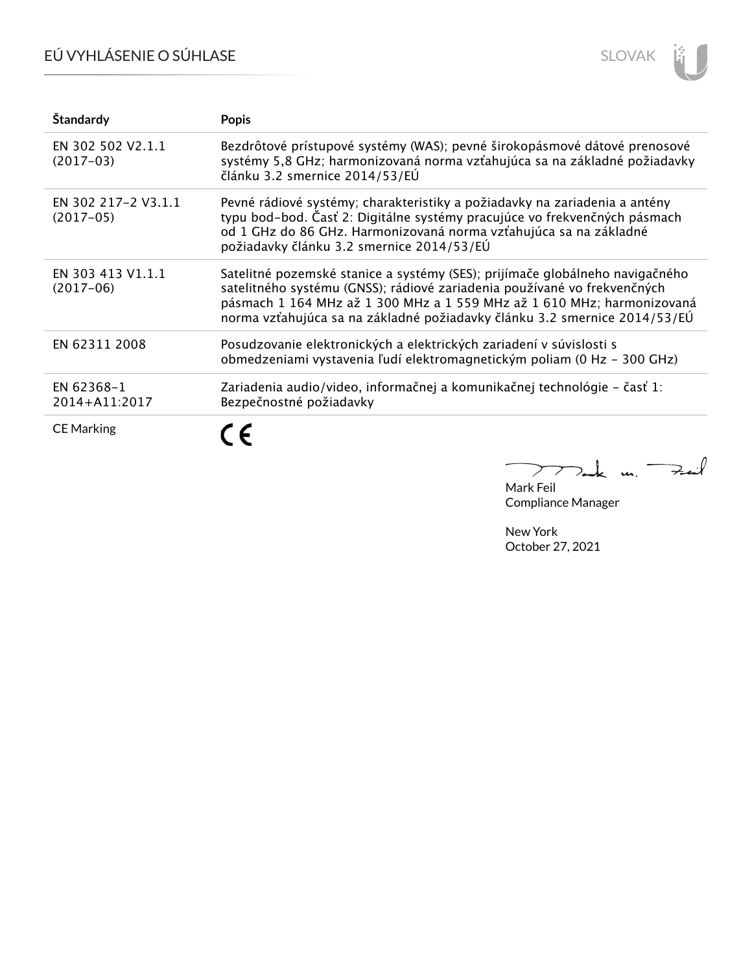# EÚ VYHLÁSENIE O SÚHLASE



| Štandardy                          | <b>Popis</b>                                                                                                                                                                                                                                                                                                    |
|------------------------------------|-----------------------------------------------------------------------------------------------------------------------------------------------------------------------------------------------------------------------------------------------------------------------------------------------------------------|
| EN 302 502 V2.1.1<br>$(2017-03)$   | Bezdrôtové prístupové systémy (WAS); pevné širokopásmové dátové prenosové<br>systémy 5,8 GHz; harmonizovaná norma vzťahujúca sa na základné požiadavky<br>článku 3.2 smernice 2014/53/EÚ                                                                                                                        |
| EN 302 217-2 V3.1.1<br>$(2017-05)$ | Pevné rádiové systémy; charakteristiky a požiadavky na zariadenia a antény<br>typu bod-bod. Časť 2: Digitálne systémy pracujúce vo frekvenčných pásmach<br>od 1 GHz do 86 GHz. Harmonizovaná norma vzťahujúca sa na základné<br>požiadavky článku 3.2 smernice 2014/53/EÚ                                       |
| EN 303 413 V1.1.1<br>$(2017-06)$   | Satelitné pozemské stanice a systémy (SES); prijímače globálneho navigačného<br>satelitného systému (GNSS); rádiové zariadenia používané vo frekvenčných<br>pásmach 1 164 MHz až 1 300 MHz a 1 559 MHz až 1 610 MHz; harmonizovaná<br>norma vzťahujúca sa na základné požiadavky článku 3.2 smernice 2014/53/EÚ |
| EN 62311 2008                      | Posudzovanie elektronických a elektrických zariadení v súvislosti s<br>obmedzeniami vystavenia ľudí elektromagnetickým poliam (0 Hz - 300 GHz)                                                                                                                                                                  |
| EN 62368-1<br>2014+A11:2017        | Zariadenia audio/video, informačnej a komunikačnej technológie – časť 1:<br>Bezpečnostné požiadavky                                                                                                                                                                                                             |
| <b>CE Marking</b>                  |                                                                                                                                                                                                                                                                                                                 |

m. Fail  $\overline{\phantom{0}}$  $\sum$ 

Mark Feil Compliance Manager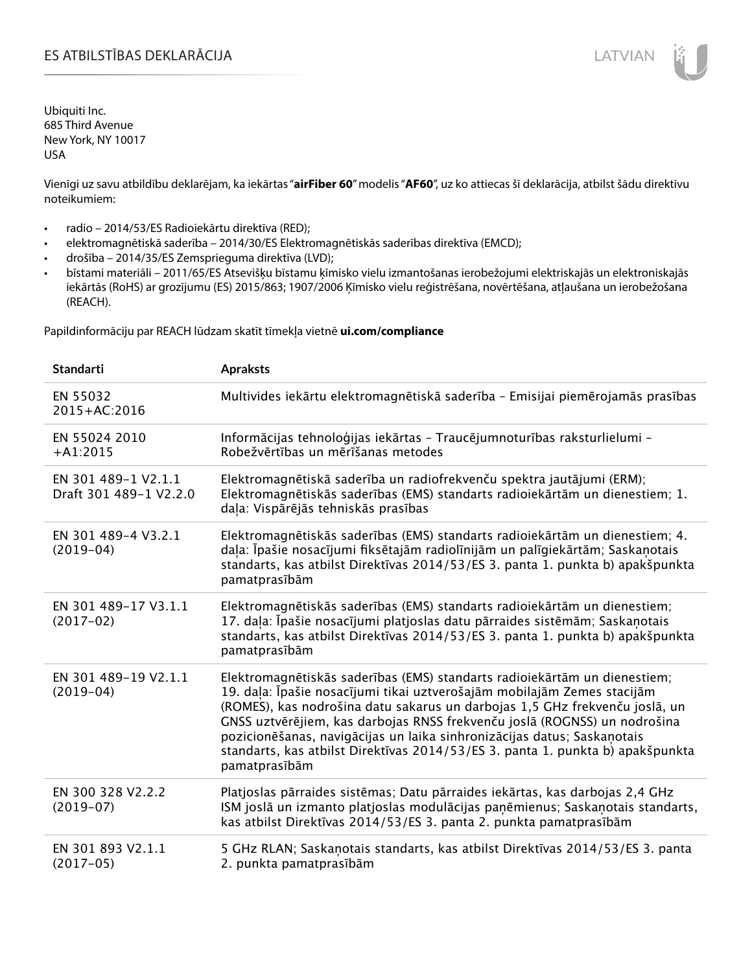Vienīgi uz savu atbildību deklarējam, ka iekārtas "**airFiber 60**" modelis "**AF60**", uz ko attiecas šī deklarācija, atbilst šādu direktīvu noteikumiem:

- radio 2014/53/ES Radioiekārtu direktīva (RED);
- elektromagnētiskā saderība 2014/30/ES Elektromagnētiskās saderības direktīva (EMCD);
- drošība 2014/35/ES Zemsprieguma direktīva (LVD);
- bīstami materiāli 2011/65/ES Atsevišķu bīstamu ķīmisko vielu izmantošanas ierobežojumi elektriskajās un elektroniskajās iekārtās (RoHS) ar grozījumu (ES) 2015/863; 1907/2006 Ķīmisko vielu reģistrēšana, novērtēšana, atļaušana un ierobežošana (REACH).

Papildinformāciju par REACH lūdzam skatīt tīmekļa vietnē **ui.com/compliance**

| <b>Standarti</b>                              | <b>Apraksts</b>                                                                                                                                                                                                                                                                                                                                                                                                                                                                                |
|-----------------------------------------------|------------------------------------------------------------------------------------------------------------------------------------------------------------------------------------------------------------------------------------------------------------------------------------------------------------------------------------------------------------------------------------------------------------------------------------------------------------------------------------------------|
| EN 55032<br>2015+AC:2016                      | Multivides iekārtu elektromagnētiskā saderība - Emisijai piemērojamās prasības                                                                                                                                                                                                                                                                                                                                                                                                                 |
| EN 55024 2010<br>$+A1:2015$                   | Informācijas tehnoloģijas iekārtas - Traucējumnoturības raksturlielumi -<br>Robežvērtības un mērīšanas metodes                                                                                                                                                                                                                                                                                                                                                                                 |
| EN 301 489-1 V2.1.1<br>Draft 301 489-1 V2.2.0 | Elektromagnētiskā saderība un radiofrekvenču spektra jautājumi (ERM);<br>Elektromagnētiskās saderības (EMS) standarts radioiekārtām un dienestiem; 1.<br>daļa: Vispārējās tehniskās prasības                                                                                                                                                                                                                                                                                                   |
| EN 301 489-4 V3.2.1<br>$(2019-04)$            | Elektromagnētiskās saderības (EMS) standarts radioiekārtām un dienestiem; 4.<br>daļa: Īpašie nosacījumi fiksētajām radiolīnijām un palīgiekārtām; Saskaņotais<br>standarts, kas atbilst Direktīvas 2014/53/ES 3. panta 1. punkta b) apakšpunkta<br>pamatprasībām                                                                                                                                                                                                                               |
| EN 301 489-17 V3.1.1<br>$(2017-02)$           | Elektromagnētiskās saderības (EMS) standarts radioiekārtām un dienestiem;<br>17. daļa: Īpašie nosacījumi platjoslas datu pārraides sistēmām; Saskaņotais<br>standarts, kas atbilst Direktīvas 2014/53/ES 3. panta 1. punkta b) apakšpunkta<br>pamatprasībām                                                                                                                                                                                                                                    |
| EN 301 489-19 V2.1.1<br>$(2019-04)$           | Elektromagnētiskās saderības (EMS) standarts radioiekārtām un dienestiem;<br>19. daļa: Īpašie nosacījumi tikai uztverošajām mobilajām Zemes stacijām<br>(ROMES), kas nodrošina datu sakarus un darbojas 1,5 GHz frekvenču joslā, un<br>GNSS uztvērējiem, kas darbojas RNSS frekvenču joslā (ROGNSS) un nodrošina<br>pozicionēšanas, navigācijas un laika sinhronizācijas datus; Saskaņotais<br>standarts, kas atbilst Direktīvas 2014/53/ES 3. panta 1. punkta b) apakšpunkta<br>pamatprasībām |
| EN 300 328 V2.2.2<br>$(2019-07)$              | Platjoslas pārraides sistēmas; Datu pārraides iekārtas, kas darbojas 2,4 GHz<br>ISM joslā un izmanto platjoslas modulācijas paņēmienus; Saskaņotais standarts,<br>kas atbilst Direktīvas 2014/53/ES 3. panta 2. punkta pamatprasībām                                                                                                                                                                                                                                                           |
| EN 301 893 V2.1.1<br>$(2017-05)$              | 5 GHz RLAN; Saskanotais standarts, kas atbilst Direktīvas 2014/53/ES 3. panta<br>2. punkta pamatprasībām                                                                                                                                                                                                                                                                                                                                                                                       |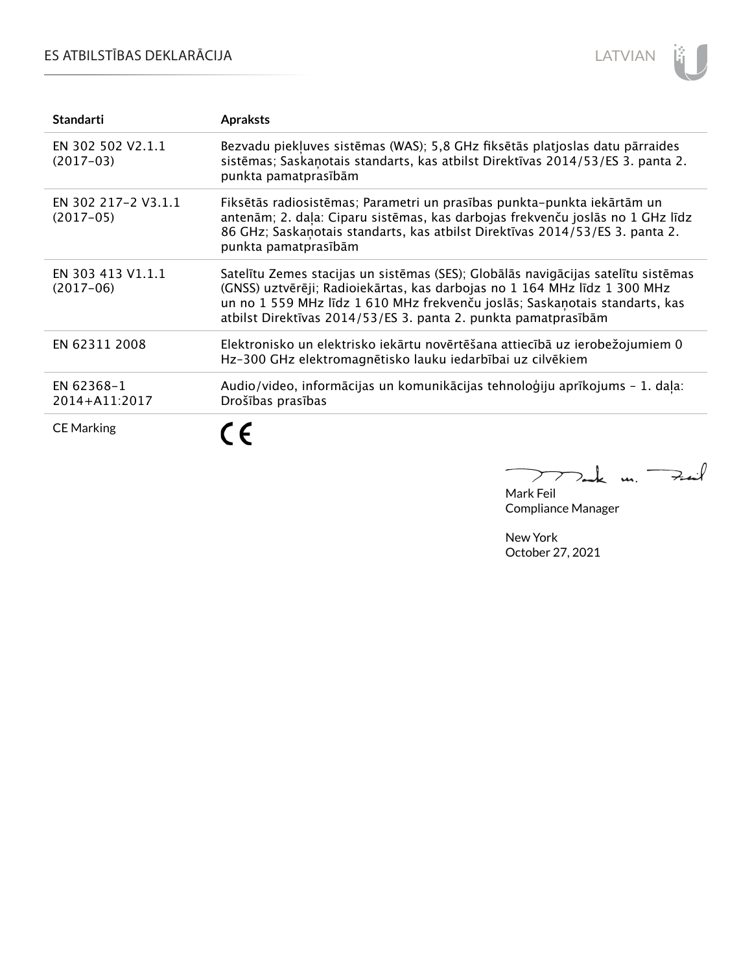### ES ATBILSTĪBAS DEKLARĀCIJA



| <b>Standarti</b>                   | <b>Apraksts</b>                                                                                                                                                                                                                                                                                                 |
|------------------------------------|-----------------------------------------------------------------------------------------------------------------------------------------------------------------------------------------------------------------------------------------------------------------------------------------------------------------|
| EN 302 502 V2.1.1<br>$(2017-03)$   | Bezvadu piekļuves sistēmas (WAS); 5,8 GHz fiksētās platjoslas datu pārraides<br>sistēmas; Saskaņotais standarts, kas atbilst Direktīvas 2014/53/ES 3. panta 2.<br>punkta pamatprasībām                                                                                                                          |
| EN 302 217-2 V3.1.1<br>$(2017-05)$ | Fiksētās radiosistēmas; Parametri un prasības punkta-punkta iekārtām un<br>antenām; 2. daļa: Ciparu sistēmas, kas darbojas frekvenču joslās no 1 GHz līdz<br>86 GHz; Saskanotais standarts, kas atbilst Direktīvas 2014/53/ES 3. panta 2.<br>punkta pamatprasībām                                               |
| EN 303 413 V1.1.1<br>$(2017-06)$   | Satelītu Zemes stacijas un sistēmas (SES); Globālās navigācijas satelītu sistēmas<br>(GNSS) uztvērēji; Radioiekārtas, kas darbojas no 1 164 MHz līdz 1 300 MHz<br>un no 1 559 MHz līdz 1 610 MHz frekvenču joslās; Saskaņotais standarts, kas<br>atbilst Direktīvas 2014/53/ES 3. panta 2. punkta pamatprasībām |
| EN 62311 2008                      | Elektronisko un elektrisko iekārtu novērtēšana attiecībā uz ierobežojumiem 0<br>Hz-300 GHz elektromagnētisko lauku iedarbībai uz cilvēkiem                                                                                                                                                                      |
| EN 62368-1<br>2014+A11:2017        | Audio/video, informācijas un komunikācijas tehnoloģiju aprīkojums - 1. daļa:<br>Drošības prasības                                                                                                                                                                                                               |
| <b>CE Marking</b>                  |                                                                                                                                                                                                                                                                                                                 |

 $k$  un  $\rightarrow$  $\sum$ 

Mark Feil Compliance Manager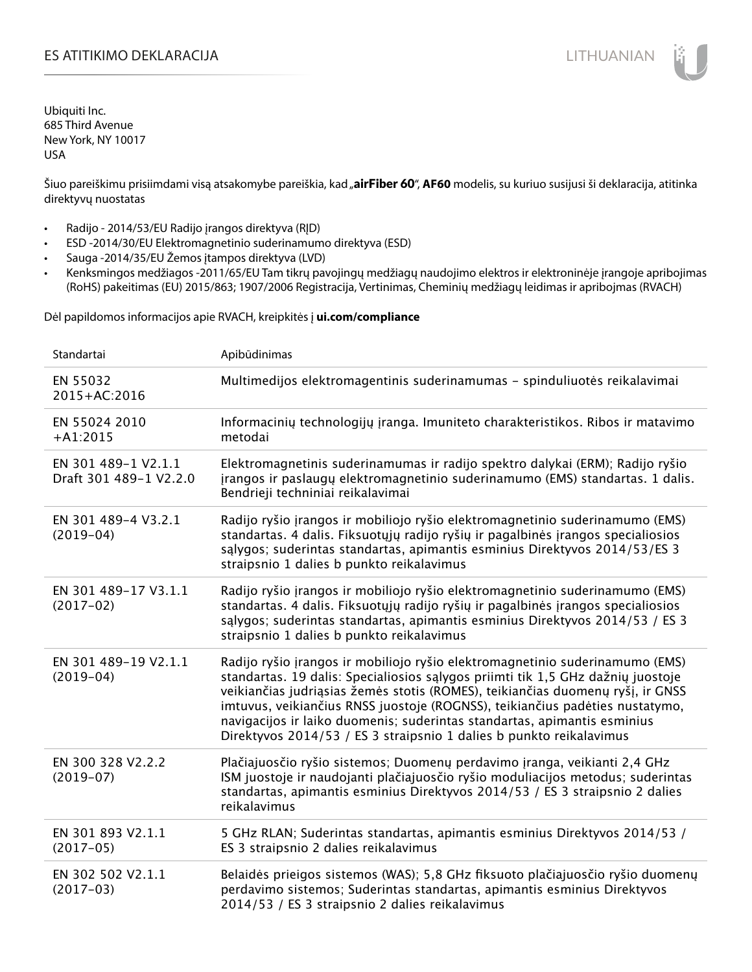### ES ATITIKIMO DEKLARACIJA NA SATITIKIMO DEKLARACIJA NA SATITIKIMO DEKLARACIJA NA SATITIKIMO DE KLARACIJA NA SATI

Ubiquiti Inc. 685 Third Avenue New York, NY 10017 USA

Šiuo pareiškimu prisiimdami visą atsakomybe pareiškia, kad "**airFiber 60", AF60** modelis, su kuriuo susijusi ši deklaracija, atitinka direktyvų nuostatas

- Radijo 2014/53/EU Radijo įrangos direktyva (RĮD)
- ESD -2014/30/EU Elektromagnetinio suderinamumo direktyva (ESD)
- Sauga -2014/35/EU Žemos įtampos direktyva (LVD)
- Kenksmingos medžiagos -2011/65/EU Tam tikrų pavojingų medžiagų naudojimo elektros ir elektroninėje įrangoje apribojimas (RoHS) pakeitimas (EU) 2015/863; 1907/2006 Registracija, Vertinimas, Cheminių medžiagų leidimas ir apribojmas (RVACH)

Dėl papildomos informacijos apie RVACH, kreipkitės į **ui.com/compliance**

| Standartai                                    | Apibūdinimas                                                                                                                                                                                                                                                                                                                                                                                                                                                                         |
|-----------------------------------------------|--------------------------------------------------------------------------------------------------------------------------------------------------------------------------------------------------------------------------------------------------------------------------------------------------------------------------------------------------------------------------------------------------------------------------------------------------------------------------------------|
| EN 55032<br>2015+AC:2016                      | Multimedijos elektromagentinis suderinamumas - spinduliuotės reikalavimai                                                                                                                                                                                                                                                                                                                                                                                                            |
| EN 55024 2010<br>$+A1:2015$                   | Informacinių technologijų įranga. Imuniteto charakteristikos. Ribos ir matavimo<br>metodai                                                                                                                                                                                                                                                                                                                                                                                           |
| EN 301 489-1 V2.1.1<br>Draft 301 489-1 V2.2.0 | Elektromagnetinis suderinamumas ir radijo spektro dalykai (ERM); Radijo ryšio<br>įrangos ir paslaugų elektromagnetinio suderinamumo (EMS) standartas. 1 dalis.<br>Bendrieji techniniai reikalavimai                                                                                                                                                                                                                                                                                  |
| EN 301 489-4 V3.2.1<br>$(2019-04)$            | Radijo ryšio įrangos ir mobiliojo ryšio elektromagnetinio suderinamumo (EMS)<br>standartas. 4 dalis. Fiksuotųjų radijo ryšių ir pagalbinės įrangos specialiosios<br>sąlygos; suderintas standartas, apimantis esminius Direktyvos 2014/53/ES 3<br>straipsnio 1 dalies b punkto reikalavimus                                                                                                                                                                                          |
| EN 301 489-17 V3.1.1<br>$(2017-02)$           | Radijo ryšio įrangos ir mobiliojo ryšio elektromagnetinio suderinamumo (EMS)<br>standartas. 4 dalis. Fiksuotųjų radijo ryšių ir pagalbinės įrangos specialiosios<br>salygos; suderintas standartas, apimantis esminius Direktyvos 2014/53 / ES 3<br>straipsnio 1 dalies b punkto reikalavimus                                                                                                                                                                                        |
| EN 301 489-19 V2.1.1<br>$(2019-04)$           | Radijo ryšio įrangos ir mobiliojo ryšio elektromagnetinio suderinamumo (EMS)<br>standartas. 19 dalis: Specialiosios sąlygos priimti tik 1,5 GHz dažnių juostoje<br>veikiančias judriąsias žemės stotis (ROMES), teikiančias duomenų ryšį, ir GNSS<br>imtuvus, veikiančius RNSS juostoje (ROGNSS), teikiančius padėties nustatymo,<br>navigacijos ir laiko duomenis; suderintas standartas, apimantis esminius<br>Direktyvos 2014/53 / ES 3 straipsnio 1 dalies b punkto reikalavimus |
| EN 300 328 V2.2.2<br>$(2019 - 07)$            | Plačiajuosčio ryšio sistemos; Duomenų perdavimo įranga, veikianti 2,4 GHz<br>ISM juostoje ir naudojanti plačiajuosčio ryšio moduliacijos metodus; suderintas<br>standartas, apimantis esminius Direktyvos 2014/53 / ES 3 straipsnio 2 dalies<br>reikalavimus                                                                                                                                                                                                                         |
| EN 301 893 V2.1.1<br>$(2017-05)$              | 5 GHz RLAN; Suderintas standartas, apimantis esminius Direktyvos 2014/53 /<br>ES 3 straipsnio 2 dalies reikalavimus                                                                                                                                                                                                                                                                                                                                                                  |
| EN 302 502 V2.1.1<br>$(2017-03)$              | Belaidės prieigos sistemos (WAS); 5,8 GHz fiksuoto plačiajuosčio ryšio duomenų<br>perdavimo sistemos; Suderintas standartas, apimantis esminius Direktyvos<br>2014/53 / ES 3 straipsnio 2 dalies reikalavimus                                                                                                                                                                                                                                                                        |